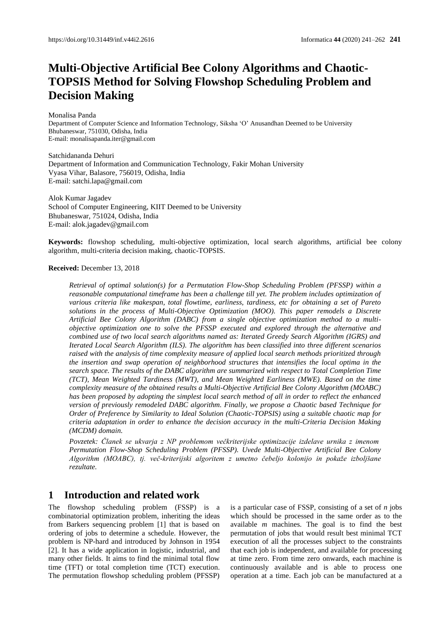# **Multi-Objective Artificial Bee Colony Algorithms and Chaotic-TOPSIS Method for Solving Flowshop Scheduling Problem and Decision Making**

Monalisa Panda

Department of Computer Science and Information Technology, Siksha 'O' Anusandhan Deemed to be University Bhubaneswar, 751030, Odisha, India E-mail[: monalisapanda.iter@gmail.com](mailto:monalisapanda.iter@gmail.com)

Satchidananda Dehuri Department of Information and Communication Technology, Fakir Mohan University Vyasa Vihar, Balasore, 756019, Odisha, India E-mail[: satchi.lapa@gmail.com](mailto:satchi.lapa@gmail.com)

Alok Kumar Jagadev School of Computer Engineering, KIIT Deemed to be University Bhubaneswar, 751024, Odisha, India E-mail: alok.jagadev@gmail.com

**Keywords:** flowshop scheduling, multi-objective optimization, local search algorithms, artificial bee colony algorithm, multi-criteria decision making, chaotic-TOPSIS.

### **Received:** December 13, 2018

*Retrieval of optimal solution(s) for a Permutation Flow-Shop Scheduling Problem (PFSSP) within a reasonable computational timeframe has been a challenge till yet. The problem includes optimization of various criteria like makespan, total flowtime, earliness, tardiness, etc for obtaining a set of Pareto solutions in the process of Multi-Objective Optimization (MOO). This paper remodels a Discrete Artificial Bee Colony Algorithm (DABC) from a single objective optimization method to a multiobjective optimization one to solve the PFSSP executed and explored through the alternative and combined use of two local search algorithms named as: Iterated Greedy Search Algorithm (IGRS) and Iterated Local Search Algorithm (ILS). The algorithm has been classified into three different scenarios raised with the analysis of time complexity measure of applied local search methods prioritized through the insertion and swap operation of neighborhood structures that intensifies the local optima in the search space. The results of the DABC algorithm are summarized with respect to Total Completion Time (TCT), Mean Weighted Tardiness (MWT), and Mean Weighted Earliness (MWE). Based on the time complexity measure of the obtained results a Multi-Objective Artificial Bee Colony Algorithm (MOABC) has been proposed by adopting the simplest local search method of all in order to reflect the enhanced version of previously remodeled DABC algorithm. Finally, we propose a Chaotic based Technique for Order of Preference by Similarity to Ideal Solution (Chaotic-TOPSIS) using a suitable chaotic map for criteria adaptation in order to enhance the decision accuracy in the multi-Criteria Decision Making (MCDM) domain.*

*Povzetek: Članek se ukvarja z NP problemom večkriterijske optimizacije izdelave urnika z imenom Permutation Flow-Shop Scheduling Problem (PFSSP). Uvede Multi-Objective Artificial Bee Colony Algorithm (MOABC), tj. več-kriterijski algoritem z umetno čebeljo kolonijo in pokaže izboljšane rezultate.*

## **1 Introduction and related work**

The flowshop scheduling problem (FSSP) is a combinatorial optimization problem, inheriting the ideas from Barkers sequencing problem [1] that is based on ordering of jobs to determine a schedule. However, the problem is NP-hard and introduced by Johnson in 1954 [2]. It has a wide application in logistic, industrial, and many other fields. It aims to find the minimal total flow time (TFT) or total completion time (TCT) execution. The permutation flowshop scheduling problem (PFSSP) is a particular case of FSSP, consisting of a set of *n* jobs which should be processed in the same order as to the available *m* machines. The goal is to find the best permutation of jobs that would result best minimal TCT execution of all the processes subject to the constraints that each job is independent, and available for processing at time zero. From time zero onwards, each machine is continuously available and is able to process one operation at a time. Each job can be manufactured at a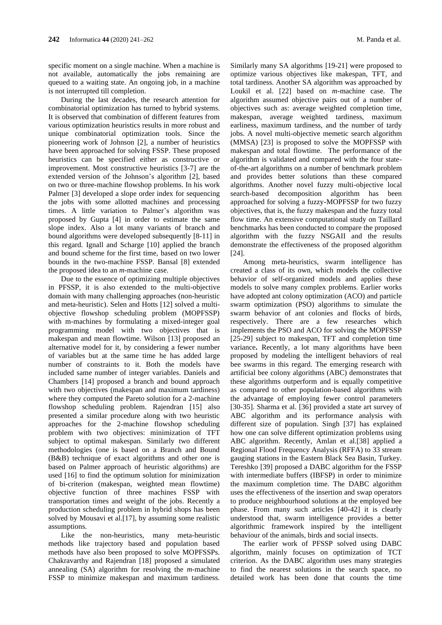specific moment on a single machine. When a machine is not available, automatically the jobs remaining are queued to a waiting state. An ongoing job, in a machine is not interrupted till completion.

During the last decades, the research attention for combinatorial optimization has turned to hybrid systems. It is observed that combination of different features from various optimization heuristics results in more robust and unique combinatorial optimization tools. Since the pioneering work of Johnson [2], a number of heuristics have been approached for solving FSSP. These proposed heuristics can be specified either as constructive or improvement. Most constructive heuristics [3-7] are the extended version of the Johnson's algorithm [2], based on two or three-machine flowshop problems. In his work Palmer [3] developed a slope order index for sequencing the jobs with some allotted machines and processing times. A little variation to Palmer's algorithm was proposed by Gupta [4] in order to estimate the same slope index. Also a lot many variants of branch and bound algorithms were developed subsequently [8-11] in this regard. Ignall and Scharge [10] applied the branch and bound scheme for the first time, based on two lower bounds in the two-machine FSSP. Bansal [8] extended the proposed idea to an *m*-machine case.

Due to the essence of optimizing multiple objectives in PFSSP, it is also extended to the multi-objective domain with many challenging approaches (non-heuristic and meta-heuristic). Selen and Hotts [12] solved a multiobjective flowshop scheduling problem (MOPFSSP) with m-machines by formulating a mixed-integer goal programming model with two objectives that is makespan and mean flowtime. Wilson [13] proposed an alternative model for it, by considering a fewer number of variables but at the same time he has added large number of constraints to it. Both the models have included same number of integer variables. Daniels and Chambers [14] proposed a branch and bound approach with two objectives (makespan and maximum tardiness) where they computed the Pareto solution for a 2-machine flowshop scheduling problem. Rajendran [15] also presented a similar procedure along with two heuristic approaches for the 2-machine flowshop scheduling problem with two objectives: minimization of TFT subject to optimal makespan. Similarly two different methodologies (one is based on a Branch and Bound (B&B) technique of exact algorithms and other one is based on Palmer approach of heuristic algorithms) are used [16] to find the optimum solution for minimization of bi-criterion (makespan, weighted mean flowtime) objective function of three machines FSSP with transportation times and weight of the jobs. Recently a production scheduling problem in hybrid shops has been solved by Mousavi et al.[17], by assuming some realistic assumptions.

Like the non-heuristics, many meta-heuristic methods like trajectory based and population based methods have also been proposed to solve MOPFSSPs. Chakravarthy and Rajendran [18] proposed a simulated annealing (SA) algorithm for resolving the *m*-machine FSSP to minimize makespan and maximum tardiness.

Similarly many SA algorithms [19-21] were proposed to optimize various objectives like makespan, TFT, and total tardiness. Another SA algorithm was approached by Loukil et al. [22] based on *m*-machine case. The algorithm assumed objective pairs out of a number of objectives such as: average weighted completion time, makespan, average weighted tardiness, maximum earliness, maximum tardiness, and the number of tardy jobs. A novel multi-objective memetic search algorithm (MMSA) [23] is proposed to solve the MOPFSSP with makespan and total flowtime. The performance of the algorithm is validated and compared with the four stateof-the-art algorithms on a number of benchmark problem and provides better solutions than these compared algorithms. Another novel fuzzy multi-objective local search-based decomposition algorithm has been approached for solving a fuzzy-MOPFSSP for two fuzzy objectives, that is, the fuzzy makespan and the fuzzy total flow time. An extensive computational study on Taillard benchmarks has been conducted to compare the proposed algorithm with the fuzzy NSGAII and the results demonstrate the effectiveness of the proposed algorithm [24].

Among meta-heuristics, swarm intelligence has created a class of its own, which models the collective behavior of self-organized models and applies these models to solve many complex problems. Earlier works have adopted ant colony optimization (ACO) and particle swarm optimization (PSO) algorithms to simulate the swarm behavior of ant colonies and flocks of birds, respectively. There are a few researches which implements the PSO and ACO for solving the MOPFSSP [25-29] subject to makespan, TFT and completion time variance**.** Recently, a lot many algorithms have been proposed by modeling the intelligent behaviors of real bee swarms in this regard. The emerging research with artificial bee colony algorithms (ABC) demonstrates that these algorithms outperform and is equally competitive as compared to other population-based algorithms with the advantage of employing fewer control parameters [30-35]. Sharma et al. [36] provided a state art survey of ABC algorithm and its performance analysis with different size of population. Singh [37] has explained how one can solve different optimization problems using ABC algorithm. Recently, Amlan et al.[38] applied a Regional Flood Frequency Analysis (RFFA) to 33 stream gauging stations in the Eastern Black Sea Basin, Turkey. Tereshko [39] proposed a DABC algorithm for the FSSP with intermediate buffers (IBFSP) in order to minimize the maximum completion time. The DABC algorithm uses the effectiveness of the insertion and swap operators to produce neighbourhood solutions at the employed bee phase. From many such articles [40-42] it is clearly understood that, swarm intelligence provides a better algorithmic framework inspired by the intelligent behaviour of the animals, birds and social insects.

The earlier work of PFSSP solved using DABC algorithm, mainly focuses on optimization of TCT criterion. As the DABC algorithm uses many strategies to find the nearest solutions in the search space, no detailed work has been done that counts the time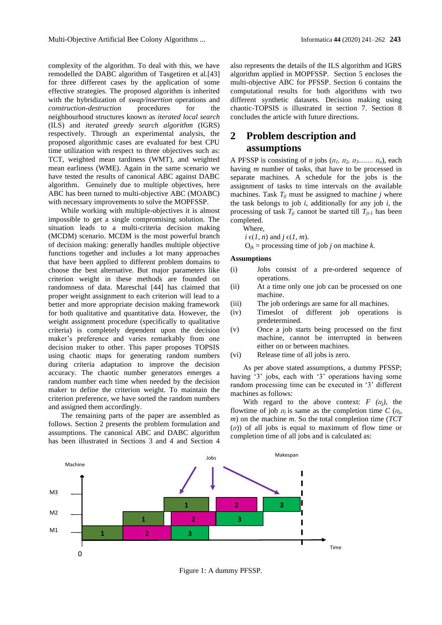complexity of the algorithm. To deal with this, we have remodelled the DABC algorithm of Tasgetiren et al.[43] for three different cases by the application of some effective strategies. The proposed algorithm is inherited with the hybridization of *swap/insertion* operations and *construction-destruction* procedures for the neighbourhood structures known as *iterated local search*  (ILS) and *iterated greedy search algorithm* (IGRS) respectively. Through an experimental analysis, the proposed algorithmic cases are evaluated for best CPU time utilization with respect to three objectives such as: TCT, weighted mean tardiness (WMT), and weighted mean earliness (WME). Again in the same scenario we have tested the results of canonical ABC against DABC algorithm. Genuinely due to multiple objectives, here ABC has been turned to multi-objective ABC (MOABC) with necessary improvements to solve the MOPFSSP.

While working with multiple-objectives it is almost impossible to get a single compromising solution. The situation leads to a multi-criteria decision making (MCDM) scenario. MCDM is the most powerful branch of decision making: generally handles multiple objective functions together and includes a lot many approaches that have been applied to different problem domains to choose the best alternative. But major parameters like criterion weight in these methods are founded on randomness of data. Mareschal [44] has claimed that proper weight assignment to each criterion will lead to a better and more appropriate decision making framework for both qualitative and quantitative data. However, the weight assignment procedure (specifically to qualitative criteria) is completely dependent upon the decision maker's preference and varies remarkably from one decision maker to other. This paper proposes TOPSIS using chaotic maps for generating random numbers during criteria adaptation to improve the decision accuracy. The chaotic number generators emerges a random number each time when needed by the decision maker to define the criterion weight. To maintain the criterion preference, we have sorted the random numbers and assigned them accordingly.

The remaining parts of the paper are assembled as follows. Section 2 presents the problem formulation and assumptions. The canonical ABC and DABC algorithm has been illustrated in Sections 3 and 4 and Section 4

also represents the details of the ILS algorithm and IGRS algorithm applied in MOPFSSP. Section 5 encloses the multi-objective ABC for PFSSP. Section 6 contains the computational results for both algorithms with two different synthetic datasets. Decision making using chaotic-TOPSIS is illustrated in section 7. Section 8 concludes the article with future directions.

## **2 Problem description and assumptions**

A PFSSP is consisting of *n* jobs  $(\Pi_1, \Pi_2, \Pi_3, \ldots, \Pi_n)$ , each having *m* number of tasks, that have to be processed in separate machines. A schedule for the jobs is the assignment of tasks to time intervals on the available machines. Task  $T_{ji}$  must be assigned to machine *j* where the task belongs to job *i*, additionally for any job *i*, the processing of task  $T_{ji}$  cannot be started till  $T_{ji-1}$  has been completed.

Where,

 $i \in (1, n)$  and  $j \in (1, m)$ .

 $O_{ik}$  = processing time of job *j* on machine *k*.

### **Assumptions**

- (i) Jobs consist of a pre-ordered sequence of operations.
- (ii) At a time only one job can be processed on one machine.
- (iii) The job orderings are same for all machines.
- (iv) Timeslot of different job operations is predetermined.
- (v) Once a job starts being processed on the first machine, cannot be interrupted in between either on or between machines.
- (vi) Release time of all jobs is zero.

As per above stated assumptions, a dummy PFSSP; having '3' jobs, each with '3' operations having some random processing time can be executed in '3' different machines as follows:

With regard to the above context:  $F(\pi_i)$ , the flowtime of job  $\pi$ <sup>*j*</sup> is same as the completion time *C* ( $\pi$ <sup>*j*</sup>, *m*) on the machine *m*. So the total completion time (*TCT*  (*ᴨ*)) of all jobs is equal to maximum of flow time or completion time of all jobs and is calculated as:



Figure 1: A dummy PFSSP.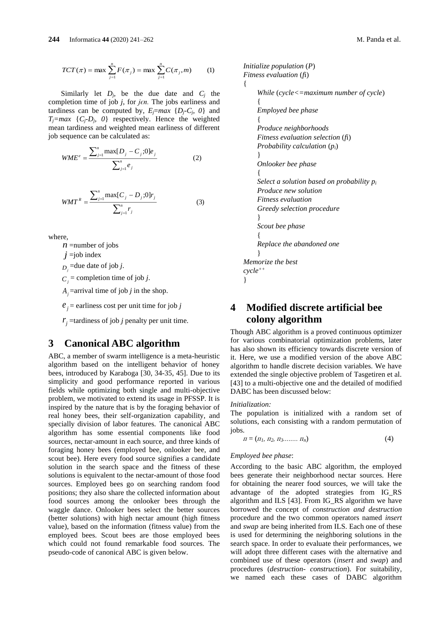$$
TCT(\pi) = \max \sum_{j=1}^{n} F(\pi_j) = \max \sum_{j=1}^{n} C(\pi_j, m)
$$
 (1)

Similarly let  $D_j$ , be the due date and  $C_j$  the completion time of job  $j$ , for  $j \in n$ . The jobs earliness and tardiness can be computed by,  $E_i = max \{D_i - C_i, 0\}$  and  $T_j = max \{C_j - D_j, 0\}$  respectively. Hence the weighted mean tardiness and weighted mean earliness of different job sequence can be calculated as:

$$
WME^{e} = \frac{\sum_{j=1}^{n} \max[D_{j} - C_{j}; 0]e_{j}}{\sum_{j=1}^{n} e_{j}}
$$
(2)

$$
WMT^{R} = \frac{\sum_{j=1}^{n} \max[C_{j} - D_{j};0]r_{j}}{\sum_{j=1}^{n} r_{j}}
$$
(3)

where,

*n* =number of jobs

*j* =job index

 $D_j$  =due date of job *j*.

 $C_j$  = completion time of job *j*.

 $A_j$  =arrival time of job *j* in the shop.

 $e_j$  = earliness cost per unit time for job *j* 

 $r_j$  =tardiness of job *j* penalty per unit time.

## **3 Canonical ABC algorithm**

ABC, a member of swarm intelligence is a meta-heuristic algorithm based on the intelligent behavior of honey bees, introduced by Karaboga [30, 34-35, 45]. Due to its simplicity and good performance reported in various fields while optimizing both single and multi-objective problem, we motivated to extend its usage in PFSSP. It is inspired by the nature that is by the foraging behavior of real honey bees, their self-organization capability, and specially division of labor features. The canonical ABC algorithm has some essential components like food sources, nectar-amount in each source, and three kinds of foraging honey bees (employed bee, onlooker bee, and scout bee). Here every food source signifies a candidate solution in the search space and the fitness of these solutions is equivalent to the nectar-amount of those food sources. Employed bees go on searching random food positions; they also share the collected information about food sources among the onlooker bees through the waggle dance. Onlooker bees select the better sources (better solutions) with high nectar amount (high fitness value), based on the information (fitness value) from the employed bees. Scout bees are those employed bees which could not found remarkable food sources. The pseudo-code of canonical ABC is given below.

```
Initialize population (P)
Fitness evaluation (fi)
{
    While (cycle<=maximum number of cycle)
    {
    Employed bee phase
    {
    Produce neighborhoods
    Fitness evaluation selection (fi)
    Probability calculation (pi)
    }
    Onlooker bee phase
    {
    Select a solution based on probability pi
    Produce new solution
    Fitness evaluation
    Greedy selection procedure
    }
    Scout bee phase
    {
    Replace the abandoned one
    }
Memorize the best 
cycle++
}
```
# **4 Modified discrete artificial bee colony algorithm**

Though ABC algorithm is a proved continuous optimizer for various combinatorial optimization problems, later has also shown its efficiency towards discrete version of it. Here, we use a modified version of the above ABC algorithm to handle discrete decision variables. We have extended the single objective problem of Tasgetiren et al. [43] to a multi-objective one and the detailed of modified DABC has been discussed below:

### *Initialization:*

The population is initialized with a random set of solutions, each consisting with a random permutation of jobs.

$$
\Pi = (\Pi_1, \Pi_2, \Pi_3, \dots, \Pi_n) \tag{4}
$$

#### *Employed bee phase*:

According to the basic ABC algorithm, the employed bees generate their neighborhood nectar sources. Here for obtaining the nearer food sources, we will take the advantage of the adopted strategies from IG\_RS algorithm and ILS [43]. From IG\_RS algorithm we have borrowed the concept of *construction and destruction* procedure and the two common operators named *insert* and *swap* are being inherited from ILS. Each one of these is used for determining the neighboring solutions in the search space. In order to evaluate their performances, we will adopt three different cases with the alternative and combined use of these operators (*insert* and *swap*) and procedures (*destruction- construction*). For suitability, we named each these cases of DABC algorithm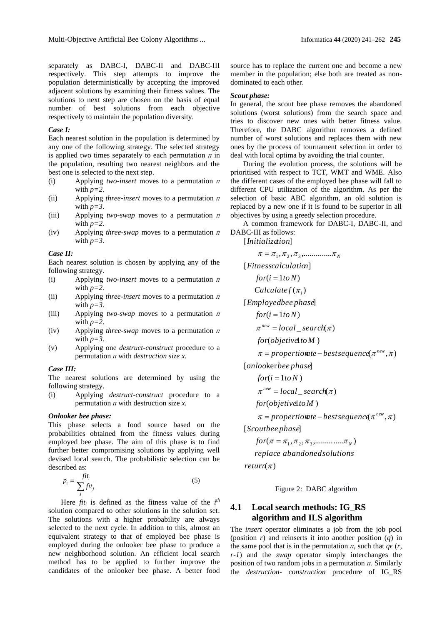separately as DABC-I, DABC-II and DABC-III respectively. This step attempts to improve the population deterministically by accepting the improved adjacent solutions by examining their fitness values. The solutions to next step are chosen on the basis of equal number of best solutions from each objective respectively to maintain the population diversity.

#### *Case I:*

Each nearest solution in the population is determined by any one of the following strategy. The selected strategy is applied two times separately to each permutation  $\pi$  in the population, resulting two nearest neighbors and the best one is selected to the next step.

- (i) Applying *two-insert* moves to a permutation  $\pi$ with  $p=2$ .
- (ii) Applying *three-insert* moves to a permutation  $\pi$ with  $p=3$ .
- (iii) Applying *two-swap* moves to a permutation  $\pi$ with  $p=2$ .
- (iv) Applying *three-swap* moves to a permutation  $\pi$ with  $p=3$ .

#### *Case II:*

Each nearest solution is chosen by applying any of the following strategy.

- (i) Applying *two-insert* moves to a permutation  $\pi$ with  $p=2$ .
- (ii) Applying *three-insert* moves to a permutation  $\pi$ with  $p=3$ .
- (iii) Applying *two-swap* moves to a permutation  $\pi$ with  $p=2$ .
- (iv) Applying *three-swap* moves to a permutation  $\pi$ with  $p=3$ .
- (v) Applying one *destruct-construct* procedure to a permutation *ᴨ* with *destruction size x.*

#### *Case III:*

The nearest solutions are determined by using the following strategy.

(i) Applying *destruct-construct* procedure to a permutation  $\pi$  with destruction size  $x$ .

#### *Onlooker bee phase:*

This phase selects a food source based on the probabilities obtained from the fitness values during employed bee phase. The aim of this phase is to find further better compromising solutions by applying well devised local search. The probabilistic selection can be described as:

$$
p_i = \frac{fit_i}{\sum_j fit_j} \tag{5}
$$

Here  $fit<sub>i</sub>$  is defined as the fitness value of the  $i<sup>th</sup>$ solution compared to other solutions in the solution set. The solutions with a higher probability are always selected to the next cycle. In addition to this, almost an equivalent strategy to that of employed bee phase is employed during the onlooker bee phase to produce a new neighborhood solution. An efficient local search method has to be applied to further improve the candidates of the onlooker bee phase. A better food source has to replace the current one and become a new member in the population; else both are treated as nondominated to each other.

#### *Scout phase:*

In general, the scout bee phase removes the abandoned solutions (worst solutions) from the search space and tries to discover new ones with better fitness value. Therefore, the DABC algorithm removes a defined number of worst solutions and replaces them with new ones by the process of tournament selection in order to deal with local optima by avoiding the trial counter.

During the evolution process, the solutions will be prioritised with respect to TCT, WMT and WME. Also the different cases of the employed bee phase will fall to different CPU utilization of the algorithm. As per the selection of basic ABC algorithm, an old solution is replaced by a new one if it is found to be superior in all objectives by using a greedy selection procedure.

A common framework for DABC-I, DABC-II, and DABC-III as follows:

[ ] *Initialization*

$$
\pi = \pi_1, \pi_2, \pi_3, \dots, \pi_N
$$
  
[*Fitnesscalculation*]  
\n
$$
for(i = 1to N)
$$
  
\n
$$
Calculatef(\pi_i)
$$
  
\n[*Employee phase*]  
\n
$$
for(i = 1to N)
$$
  
\n
$$
\pi^{new} = local\_search(\pi)
$$
  
\n
$$
for(objetivet oM)
$$
  
\n
$$
\pi = proportionate - bestsequence(\pi^{new}, \pi)
$$
  
\n[*onlooker be phase*]  
\n
$$
for(i = 1to N)
$$
  
\n
$$
\pi^{new} = local\_search(\pi)
$$
  
\n
$$
for(objetivet oM)
$$
  
\n
$$
\pi = proportionate - bestsequence(\pi^{new}, \pi)
$$
  
\n[*Scoublee phase*]  
\n[*Scoublee phase*]  
\n

( ) *return*  $for \{ \pi = \pi_1, \pi_2, \pi_3, \dots, \pi_N \}$ *replace abandonedsolutions*

Figure 2: DABC algorithm

## **4.1 Local search methods: IG\_RS algorithm and ILS algorithm**

The *insert* operator eliminates a job from the job pool (position *r*) and reinserts it into another position (*q*) in the same pool that is in the permutation  $\pi$ , such that  $q \in (r, r)$ *r-1*) and the *swap* operator simply interchanges the position of two random jobs in a permutation *ᴨ.* Similarly the *destruction- construction* procedure of IG\_RS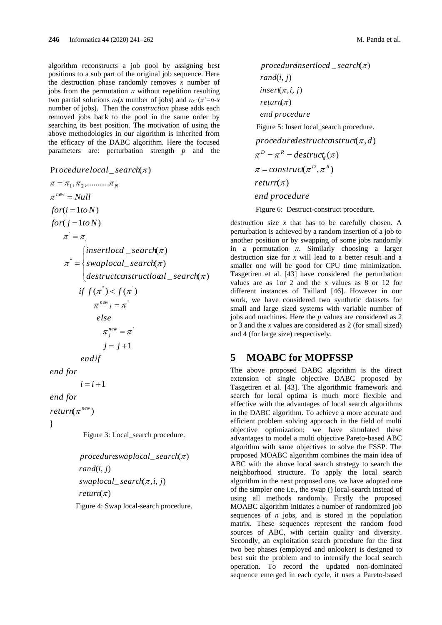algorithm reconstructs a job pool by assigning best positions to a sub part of the original job sequence. Here the destruction phase randomly removes *x* number of jobs from the permutation  $\pi$  without repetition resulting two partial solutions  $\pi_x(x)$  number of jobs) and  $\pi_x(x)=n-x$ number of jobs). Then the *construction* phase adds each removed jobs back to the pool in the same order by searching its best position. The motivation of using the above methodologies in our algorithm is inherited from the efficacy of the DABC algorithm. Here the focused parameters are: perturbation strength *p* and the

 $i = i + 1$  $j = j + 1$ if  $f(\pi^{\dagger}) < f(\pi^{\dagger})$  $\_search(\pi)$  $\bar{z} = \frac{1}{2} \text{swaplocal\_search}(\pi)$  $\int$ *insert* $local$ *<sub>\_</sub>search*( $\pi$ )  $for (j = 1 to N)$  $for (i = 1 to N)$  $\pi=\pi_{_1},\pi_{_2},\ldots\ldots\ldots\pi_{_N}$ **P**rocedurelocal\_search(π)  $\pi_j^{new} = \pi_j$  $\pi^{new}$ <sub>j</sub> =  $\pi^{n}$  $\pi^{\dot{}} = \pi^{\dot{}}_i$  $\pi^{new} = Null$ *end for endif else destructconstructloca l search swaplocal search* π  $\pi = \begin{cases} swaplocal\_search, \pi \\ destructconstructo \end{cases}$ I  $=\{$ 

*end for*

return $(\pi^{new})$ 

}

Figure 3: Local search procedure.

( ) *return*  $swaplocal\_search(\pi, i, j)$ rand(i, j) \_ ( ) *procedureswaplocal search*

Figure 4: Swap local-search procedure.

*end procedure*  $return(\pi)$  $\mathit{insert}(\pi, i, j)$ *rand*(*i*, *j*)  $procedureinsertlocal\_search(\pi)$ Figure 5: Insert local search procedure. *end procedure* return( $\pi$ )  $\pi = \text{construct}(\pi^D, \pi^R)$ *destruct d*  $procedure$  *destructconstruct*( $\pi$ ,*d*)  $\pi^D = \pi^R = destruct_i(\pi)$ Figure 6: Destruct-construct procedure.

destruction size *x* that has to be carefully chosen. A perturbation is achieved by a random insertion of a job to another position or by swapping of some jobs randomly in a permutation  $\pi$ . Similarly choosing a larger destruction size for *x* will lead to a better result and a smaller one will be good for CPU time minimization. Tasgetiren et al. [43] have considered the perturbation values are as 1or 2 and the x values as 8 or 12 for different instances of Taillard [46]. However in our work, we have considered two synthetic datasets for small and large sized systems with variable number of jobs and machines. Here the *p* values are considered as 2 or 3 and the *x* values are considered as 2 (for small sized) and 4 (for large size) respectively.

## **5 MOABC for MOPFSSP**

The above proposed DABC algorithm is the direct extension of single objective DABC proposed by Tasgetiren et al. [43]. The algorithmic framework and search for local optima is much more flexible and effective with the advantages of local search algorithms in the DABC algorithm. To achieve a more accurate and efficient problem solving approach in the field of multi objective optimization; we have simulated these advantages to model a multi objective Pareto-based ABC algorithm with same objectives to solve the FSSP. The proposed MOABC algorithm combines the main idea of ABC with the above local search strategy to search the neighborhood structure. To apply the local search algorithm in the next proposed one, we have adopted one of the simpler one i.e., the swap () local-search instead of using all methods randomly. Firstly the proposed MOABC algorithm initiates a number of randomized job sequences of *n* jobs, and is stored in the population matrix. These sequences represent the random food sources of ABC, with certain quality and diversity. Secondly, an exploitation search procedure for the first two bee phases (employed and onlooker) is designed to best suit the problem and to intensify the local search operation. To record the updated non-dominated sequence emerged in each cycle, it uses a Pareto-based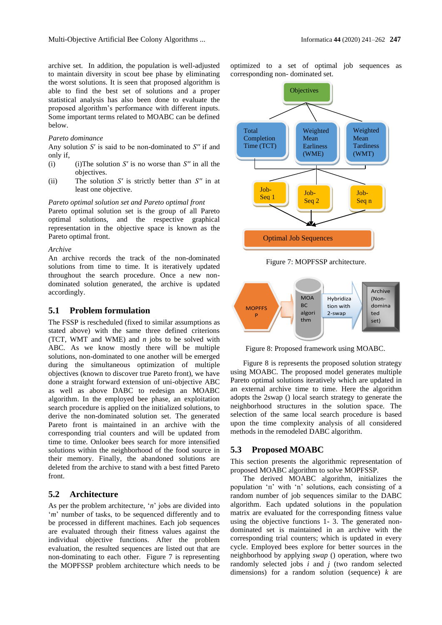archive set. In addition, the population is well-adjusted to maintain diversity in scout bee phase by eliminating the worst solutions. It is seen that proposed algorithm is able to find the best set of solutions and a proper statistical analysis has also been done to evaluate the proposed algorithm's performance with different inputs. Some important terms related to MOABC can be defined below.

#### *Pareto dominance*

Any solution *S*′ is said to be non-dominated to *S′′* if and only if,

- (i) (i)The solution *S′* is no worse than *S′′* in all the objectives.
- (ii) The solution *S′* is strictly better than *S′′* in at least one objective.

#### *Pareto optimal solution set and Pareto optimal front*

Pareto optimal solution set is the group of all Pareto optimal solutions, and the respective graphical representation in the objective space is known as the Pareto optimal front.

#### *Archive*

An archive records the track of the non-dominated solutions from time to time. It is iteratively updated throughout the search procedure. Once a new nondominated solution generated, the archive is updated accordingly.

### **5.1 Problem formulation**

The FSSP is rescheduled (fixed to similar assumptions as stated above) with the same three defined criterions (TCT, WMT and WME) and *n* jobs to be solved with ABC. As we know mostly there will be multiple solutions, non-dominated to one another will be emerged during the simultaneous optimization of multiple objectives (known to discover true Pareto front), we have done a straight forward extension of uni-objective ABC as well as above DABC to redesign an MOABC algorithm. In the employed bee phase, an exploitation search procedure is applied on the initialized solutions, to derive the non-dominated solution set. The generated Pareto front is maintained in an archive with the corresponding trial counters and will be updated from time to time. Onlooker bees search for more intensified solutions within the neighborhood of the food source in their memory. Finally, the abandoned solutions are deleted from the archive to stand with a best fitted Pareto front.

## **5.2 Architecture**

As per the problem architecture, '*n*' jobs are divided into '*m*' number of tasks, to be sequenced differently and to be processed in different machines. Each job sequences are evaluated through their fitness values against the individual objective functions. After the problem evaluation, the resulted sequences are listed out that are non-dominating to each other. Figure 7 is representing the MOPFSSP problem architecture which needs to be optimized to a set of optimal job sequences as corresponding non- dominated set.



Figure 7: MOPFSSP architecture.

Ī



Figure 8: Proposed framework using MOABC.

Figure 8 is represents the proposed solution strategy using MOABC. The proposed model generates multiple Pareto optimal solutions iteratively which are updated in an external archive time to time. Here the algorithm adopts the 2swap () local search strategy to generate the neighborhood structures in the solution space. The selection of the same local search procedure is based upon the time complexity analysis of all considered methods in the remodeled DABC algorithm.

### **5.3 Proposed MOABC**

This section presents the algorithmic representation of proposed MOABC algorithm to solve MOPFSSP.

The derived MOABC algorithm, initializes the population 'n' with 'n' solutions, each consisting of a random number of job sequences similar to the DABC algorithm. Each updated solutions in the population matrix are evaluated for the corresponding fitness value using the objective functions 1- 3. The generated nondominated set is maintained in an archive with the corresponding trial counters; which is updated in every cycle. Employed bees explore for better sources in the neighborhood by applying *swap* () operation, where two randomly selected jobs *i* and *j* (two random selected dimensions) for a random solution (sequence) *k* are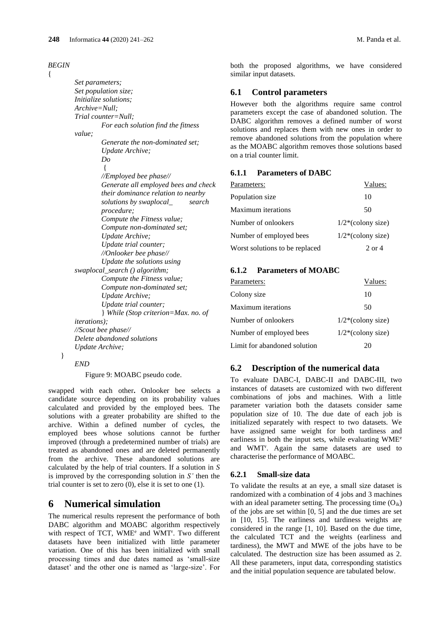*BEGIN* 

{

*Set parameters; Set population size; Initialize solutions; Archive=Null; Trial counter=Null; For each solution find the fitness value; Generate the non-dominated set; Update Archive; Do* { *//Employed bee phase// Generate all employed bees and check their dominance relation to nearby solutions by swaplocal\_ search procedure; Compute the Fitness value; Compute non-dominated set; Update Archive; Update trial counter; //Onlooker bee phase// Update the solutions using swaplocal\_search () algorithm; Compute the Fitness value; Compute non-dominated set; Update Archive; Update trial counter;* } *While (Stop criterion=Max. no. of iterations); //Scout bee phase// Delete abandoned solutions Update Archive;*

} *END*

Figure 9: MOABC pseudo code.

swapped with each other**.** Onlooker bee selects a candidate source depending on its probability values calculated and provided by the employed bees. The solutions with a greater probability are shifted to the archive. Within a defined number of cycles, the employed bees whose solutions cannot be further improved (through a predetermined number of trials) are treated as abandoned ones and are deleted permanently from the archive. These abandoned solutions are calculated by the help of trial counters. If a solution in *S* is improved by the corresponding solution in *S'* then the trial counter is set to zero (0), else it is set to one (1).

## **6 Numerical simulation**

The numerical results represent the performance of both DABC algorithm and MOABC algorithm respectively with respect of TCT, WME<sup>e</sup> and WMT<sup>r</sup>. Two different datasets have been initialized with little parameter variation. One of this has been initialized with small processing times and due dates named as 'small-size dataset' and the other one is named as 'large-size'. For both the proposed algorithms, we have considered similar input datasets.

## **6.1 Control parameters**

However both the algorithms require same control parameters except the case of abandoned solution. The DABC algorithm removes a defined number of worst solutions and replaces them with new ones in order to remove abandoned solutions from the population where as the MOABC algorithm removes those solutions based on a trial counter limit.

### **6.1.1 Parameters of DABC**

| Parameters:                    | Values:                          |
|--------------------------------|----------------------------------|
| Population size                | 10                               |
| <b>Maximum</b> iterations      | 50                               |
| Number of onlookers            | $1/2$ <sup>*</sup> (colony size) |
| Number of employed bees        | $1/2^*$ (colony size)            |
| Worst solutions to be replaced | 2 or 4                           |

### **6.1.2 Parameters of MOABC**

| Parameters:                  | Values:               |
|------------------------------|-----------------------|
| Colony size                  | 10                    |
| Maximum iterations           | 50                    |
| Number of onlookers          | $1/2^*$ (colony size) |
| Number of employed bees      | $1/2^*$ (colony size) |
| Limit for abandoned solution | 20                    |

## **6.2 Description of the numerical data**

To evaluate DABC-I, DABC-II and DABC-III, two instances of datasets are customized with two different combinations of jobs and machines. With a little parameter variation both the datasets consider same population size of 10. The due date of each job is initialized separately with respect to two datasets. We have assigned same weight for both tardiness and earliness in both the input sets, while evaluating WME<sup>e</sup> and WMT r . Again the same datasets are used to characterise the performance of MOABC.

### **6.2.1 Small-size data**

To validate the results at an eye, a small size dataset is randomized with a combination of 4 jobs and 3 machines with an ideal parameter setting. The processing time  $(O_{ik})$ of the jobs are set within [0, 5] and the due times are set in [10, 15]. The earliness and tardiness weights are considered in the range [1, 10]. Based on the due time, the calculated TCT and the weights (earliness and tardiness), the MWT and MWE of the jobs have to be calculated. The destruction size has been assumed as 2. All these parameters, input data, corresponding statistics and the initial population sequence are tabulated below.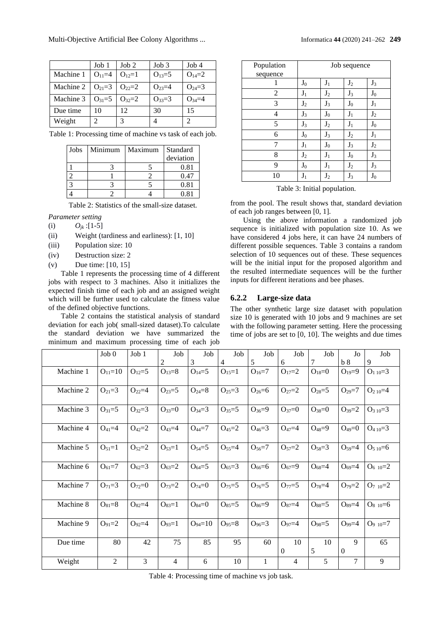Multi-Objective Artificial Bee Colony Algorithms ... Informatica **44** (2020) 241–262 **249**

|           | Job 1        | J <sub>ob</sub> 2 | Job 3      | Job4       |
|-----------|--------------|-------------------|------------|------------|
| Machine 1 | $O_{11}=4$   | $O_{12}=1$        | $O_{13}=5$ | $O_{14}=2$ |
| Machine 2 | $O_{21}=3$   | $O_{22}=2$        | $O_{23}=4$ | $O_{24}=3$ |
| Machine 3 | $O_{31} = 5$ | $O_{32}=2$        | $O_{33}=3$ | $Q_{34}=4$ |
| Due time  | 10           | 12                | 30         | 15         |
| Weight    |              | 3                 |            |            |

|  | Table 1: Processing time of machine vs task of each job. |  |  |  |  |
|--|----------------------------------------------------------|--|--|--|--|
|  |                                                          |  |  |  |  |
|  |                                                          |  |  |  |  |
|  |                                                          |  |  |  |  |

| Jobs | Minimum | Maximum | Standard<br>deviation |
|------|---------|---------|-----------------------|
|      |         |         | 0.81                  |
|      |         |         | 0.47                  |
|      |         |         | 0.81                  |
|      |         |         | 0.81                  |

Table 2: Statistics of the small-size dataset.

- *Parameter setting*
- (i)  $O_{ik}$  :[1-5]
- (ii) Weight (tardiness and earliness): [1, 10]
- (iii) Population size: 10
- (iv) Destruction size: 2
- (v) Due time: [10, 15]

Table 1 represents the processing time of 4 different jobs with respect to 3 machines. Also it initializes the expected finish time of each job and an assigned weight which will be further used to calculate the fitness value of the defined objective functions.

Table 2 contains the statistical analysis of standard deviation for each job( small-sized dataset).To calculate the standard deviation we have summarized the minimum and maximum processing time of each job

| Population<br>sequence | Job sequence   |                |                |                |  |  |
|------------------------|----------------|----------------|----------------|----------------|--|--|
|                        | J <sub>0</sub> | $J_1$          | J <sub>2</sub> | $J_3$          |  |  |
| 2                      | $J_1$          | J <sub>2</sub> | $J_3$          | $J_0$          |  |  |
| 3                      | $J_2$          | $J_3$          | $J_0$          | $J_1$          |  |  |
| 4                      | $J_3$          | $J_0$          | $J_1$          | $J_2$          |  |  |
| 5                      | $J_3$          | $J_2$          | $J_1$          | $J_0$          |  |  |
| 6                      | $J_0$          | $J_3$          | J <sub>2</sub> | $J_1$          |  |  |
| 7                      | $J_1$          | $J_0$          | $J_3$          | J <sub>2</sub> |  |  |
| 8                      | $J_2$          | $J_1$          | $J_0$          | $J_3$          |  |  |
| 9                      | $J_0$          | $J_1$          | $J_2$          | $J_3$          |  |  |
| 10                     | $J_1$          | $J_2$          | $J_3$          | $J_0$          |  |  |

Table 3: Initial population.

from the pool. The result shows that, standard deviation of each job ranges between [0, 1].

Using the above information a randomized job sequence is initialized with population size 10. As we have considered 4 jobs here, it can have 24 numbers of different possible sequences. Table 3 contains a random selection of 10 sequences out of these. These sequences will be the initial input for the proposed algorithm and the resulted intermediate sequences will be the further inputs for different iterations and bee phases.

## **6.2.2 Large-size data**

The other synthetic large size dataset with population size 10 is generated with 10 jobs and 9 machines are set with the following parameter setting. Here the processing time of jobs are set to [0, 10]. The weights and due times

|           | Job 0          | Job 1      | Job            | Job           | Job            | Job          | Job            | Job        | Jo             | Job              |
|-----------|----------------|------------|----------------|---------------|----------------|--------------|----------------|------------|----------------|------------------|
|           |                |            | 2              | 3             | $\overline{4}$ | 5            | 6              | 7          | b <sub>8</sub> | 9                |
| Machine 1 | $O_{11}=10$    | $O_{12}=5$ | $O_{13}=8$     | $O_{14}=5$    | $O_{15}=1$     | $O_{16}=7$   | $O_{17}=2$     | $O_{18}=0$ | $O_{19}=9$     | $O_{110}=3$      |
| Machine 2 | $O_{21}=3$     | $O_{22}=4$ | $O_{23}=5$     | $O_{24}=8$    | $O_{25}=3$     | $O_{26}=6$   | $O_{27}=2$     | $O_{28}=5$ | $O_{29}=7$     | $O_{2 10} = 4$   |
| Machine 3 | $O_{31}=5$     | $O_{32}=3$ | $O_{33}=0$     | $O_{34}=3$    | $O_{35}=5$     | $O_{36}=9$   | $O_{37}=0$     | $O_{38}=0$ | $O_{39}=2$     | $O_{3 10} = 3$   |
| Machine 4 | $O_{41} = 4$   | $O_{42}=2$ | $O_{43}=4$     | $O_{44}=7$    | $O_{45}=2$     | $O_{46} = 3$ | $O_{47} = 4$   | $O_{48}=9$ | $O_{49}=0$     | $O_{410}=3$      |
| Machine 5 | $O_{51}=1$     | $O_{52}=2$ | $O_{53}=1$     | $O_{54}=5$    | $O_{55}=4$     | $O_{56}=7$   | $O_{57}=2$     | $O_{58}=3$ | $O_{59}=4$     | $O_{510}=6$      |
| Machine 6 | $O_{61}=7$     | $O_{62}=3$ | $O_{63}=2$     | $O_{64}=5$    | $O_{65}=3$     | $O_{66}=6$   | $O_{67}=9$     | $O_{68}=4$ | $O_{69}=4$     | $O_{6,10}=2$     |
| Machine 7 | $O_{71}=3$     | $O_{72}=0$ | $O_{73}=2$     | $O_{74}=0$    | $O_{75}=5$     | $O_{76}=5$   | $O_{77}=5$     | $O_{78}=4$ | $O_{79}=2$     | $O_{7,10}=2$     |
| Machine 8 | $O_{81} = 8$   | $O_{82}=4$ | $O_{83}=1$     | $O_{84}=0$    | $O_{85}=5$     | $O_{86}=9$   | $O_{87}=4$     | $O_{88}=5$ | $O_{89} = 4$   | $O_{8,10}=6$     |
| Machine 9 | $O_{91} = 2$   | $O_{92}=4$ | $O_{93}=1$     | $O_{94} = 10$ | $O_{95} = 8$   | $O_{96} = 3$ | $O_{97}=4$     | $O_{98}=5$ | $O_{99}=4$     | $O_{9 \ 10} = 7$ |
| Due time  | 80             | 42         | 75             | 85            | 95             | 60           | 10<br>$\Omega$ | 10<br>5    | 9<br>$\Omega$  | 65               |
| Weight    | $\overline{c}$ | 3          | $\overline{4}$ | 6             | 10             | 1            | $\overline{4}$ | 5          | 7              | 9                |

Table 4: Processing time of machine vs job task.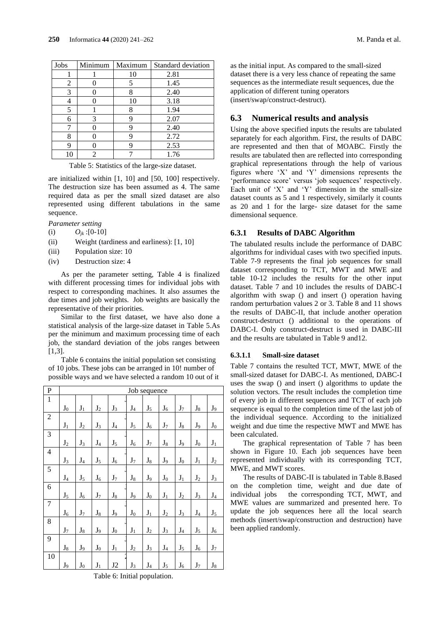| Jobs | Minimum | Maximum | Standard deviation |
|------|---------|---------|--------------------|
|      |         | 10      | 2.81               |
| 2    |         |         | 1.45               |
| 3    |         |         | 2.40               |
|      |         | 10      | 3.18               |
| 5    |         |         | 1.94               |
| 6    | 3       |         | 2.07               |
|      |         |         | 2.40               |
| 8    |         |         | 2.72               |
| q    |         |         | 2.53               |
|      | 2       |         | 1.76               |

Table 5: Statistics of the large-size dataset.

are initialized within [1, 10] and [50, 100] respectively. The destruction size has been assumed as 4. The same required data as per the small sized dataset are also represented using different tabulations in the same sequence.

*Parameter setting*

- (i)  $O_{ik}$  :[0-10]
- (ii) Weight (tardiness and earliness): [1, 10]
- (iii) Population size: 10
- (iv) Destruction size: 4

As per the parameter setting, Table 4 is finalized with different processing times for individual jobs with respect to corresponding machines. It also assumes the due times and job weights. Job weights are basically the representative of their priorities.

Similar to the first dataset, we have also done a statistical analysis of the large-size dataset in Table 5.As per the minimum and maximum processing time of each job, the standard deviation of the jobs ranges between  $[1,3]$ .

Table 6 contains the initial population set consisting of 10 jobs. These jobs can be arranged in 10! number of possible ways and we have selected a random 10 out of it

| $\mathbf P$    |                |                |                |                |                | Job sequence   |                |                |                |                |
|----------------|----------------|----------------|----------------|----------------|----------------|----------------|----------------|----------------|----------------|----------------|
| $\mathbf{1}$   |                |                |                |                |                |                |                |                |                |                |
|                | $\mathbf{J}_0$ | $\mathbf{J}_1$ | $\mathbf{J}_2$ | $J_3$          | $\mathbf{J}_4$ | $\mathbf{J}_5$ | ${\bf J}_6$    | $J_7$          | $\mathbf{J}_8$ | $\mathbf{J}_9$ |
| $\overline{2}$ |                |                |                |                |                |                |                |                |                |                |
|                | $\mathbf{J}_1$ | $\mathbf{J}_2$ | $J_3$          | $\mathbf{J}_4$ | $\mathbf{J}_5$ | $\mathbf{J}_6$ | $\mathbf{J}_7$ | $\mathbf{J}_8$ | $J_9$          | $\mathbf{J}_0$ |
| 3              |                |                |                |                |                |                |                |                |                |                |
|                | $\mathbf{J}_2$ | $J_3$          | $\mathbf{J}_4$ | $J_5$          | $\mathbf{J}_6$ | $J_7$          | ${\bf J}_8$    | $J_9$          | $J_0$          | $\mathbf{J}_1$ |
| 4              |                |                |                |                |                |                |                |                |                |                |
|                | $J_3$          | $\mathbf{J}_4$ | $\mathbf{J}_5$ | $\mathbf{J}_6$ | $\mathbf{J}_7$ | ${\bf J}_8$    | $J_9$          | $\mathbf{J}_0$ | $\mathbf{J}_1$ | $J_2$          |
| 5              |                |                |                |                |                |                |                |                |                |                |
|                | $\mathbf{J}_4$ | $\mathbf{J}_5$ | $\mathbf{J}_6$ | $\mathbf{J}_7$ | $\mathbf{J}_8$ | $J_9$          | $\mathbf{J}_0$ | $\mathbf{J}_1$ | $\mathbf{J}_2$ | $J_3$          |
| 6              |                |                |                |                |                |                |                |                |                |                |
|                | $J_5$          | $J_6$          | $\mathbf{J}_7$ | $\mathbf{J}_8$ | $J_9$          | $\mathbf{J}_0$ | $\mathbf{J}_1$ | $J_2$          | $J_3$          | $\mathbf{J}_4$ |
| $\overline{7}$ |                |                |                |                |                |                |                |                |                |                |
|                | $\mathbf{J}_6$ | $\mathbf{J}_7$ | $\mathbf{J}_8$ | $\mathbf{J}_9$ | $\mathbf{J}_0$ | $\mathbf{J}_1$ | $\mathbf{J}_2$ | $\mathbf{J}_3$ | $\mathbf{J}_4$ | $\mathbf{J}_5$ |
| 8              |                |                |                |                |                |                |                |                |                |                |
|                | $\mathbf{J}_7$ | $\mathbf{J}_8$ | $\mathbf{J}_9$ | $\mathbf{J}_0$ | $\mathbf{J}_1$ | $\mathbf{J}_2$ | $J_3$          | $\mathbf{J}_4$ | $J_5$          | $\mathbf{J}_6$ |
| 9              |                |                |                |                |                |                |                |                |                |                |
|                | $\mathbf{J}_8$ | $J_9$          | $\mathbf{J}_0$ | $\mathbf{J}_1$ | $\mathbf{J}_2$ | $J_3$          | $\mathbf{J}_4$ | $\mathbf{J}_5$ | $J_6$          | $\mathbf{J}_7$ |
| 10             |                |                |                |                |                |                |                |                |                |                |
|                | $J_9$          | $\mathbf{J}_0$ | $\mathbf{J}_1$ | J2             | $\mathbf{J}_3$ | $\mathbf{J}_4$ | $J_5$          | $\mathbf{J}_6$ | $J_7$          | $J_8$          |

**6.3 Numerical results and analysis** Using the above specified inputs the results are tabulated

separately for each algorithm. First, the results of DABC are represented and then that of MOABC. Firstly the results are tabulated then are reflected into corresponding graphical representations through the help of various figures where 'X' and 'Y' dimensions represents the 'performance score' versus 'job sequences' respectively. Each unit of 'X' and 'Y' dimension in the small-size dataset counts as 5 and 1 respectively, similarly it counts as 20 and 1 for the large- size dataset for the same dimensional sequence.

as the initial input. As compared to the small-sized dataset there is a very less chance of repeating the same sequences as the intermediate result sequences, due the

application of different tuning operators (insert/swap/construct-destruct).

### **6.3.1 Results of DABC Algorithm**

The tabulated results include the performance of DABC algorithms for individual cases with two specified inputs. Table 7-9 represents the final job sequences for small dataset corresponding to TCT, MWT and MWE and table 10-12 includes the results for the other input dataset. Table 7 and 10 includes the results of DABC-I algorithm with swap () and insert () operation having random perturbation values 2 or 3. Table 8 and 11 shows the results of DABC-II, that include another operation construct-destruct () additional to the operations of DABC-I. Only construct-destruct is used in DABC-III and the results are tabulated in Table 9 and12.

### **6.3.1.1 Small-size dataset**

Table 7 contains the resulted TCT, MWT, MWE of the small-sized dataset for DABC-I. As mentioned, DABC-I uses the swap () and insert () algorithms to update the solution vectors. The result includes the completion time of every job in different sequences and TCT of each job sequence is equal to the completion time of the last job of the individual sequence. According to the initialized weight and due time the respective MWT and MWE has been calculated.

The graphical representation of Table 7 has been shown in Figure 10. Each job sequences have been represented individually with its corresponding TCT, MWE, and MWT scores.

The results of DABC-II is tabulated in Table 8.Based on the completion time, weight and due date of individual jobs the corresponding TCT, MWT, and MWE values are summarized and presented here. To update the job sequences here all the local search methods (insert/swap/construction and destruction) have been applied randomly.

Table 6: Initial population.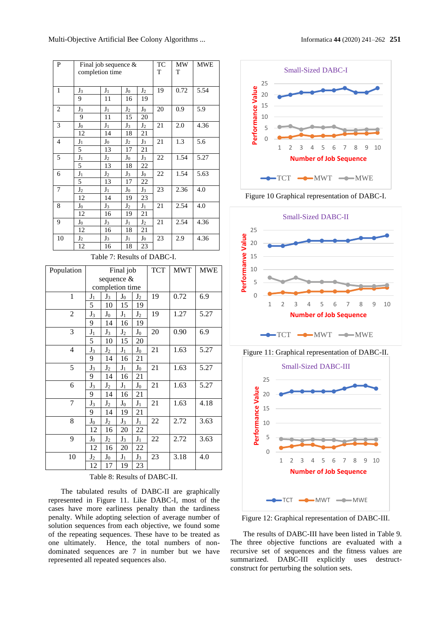Multi-Objective Artificial Bee Colony Algorithms ... Informatica **44** (2020) 241–262 **251**

| P                           |                      |                                                                 | Final job sequence &<br>completion time |                      |                         | TC<br>T    | MW<br>Т    | <b>MWE</b> |  |  |
|-----------------------------|----------------------|-----------------------------------------------------------------|-----------------------------------------|----------------------|-------------------------|------------|------------|------------|--|--|
| 1                           | $J_3$<br>9           |                                                                 | $J_1$<br>11                             | $J_0$<br>16          | J <sub>2</sub><br>19    | 19         | 0.72       | 5.54       |  |  |
| $\overline{c}$              | $J_3$<br>9           |                                                                 | $J_1$<br>11                             | J <sub>2</sub><br>15 | $_{\mathrm{J_0}}$<br>20 | 20         | 0.9        | 5.9        |  |  |
| 3                           | J <sub>0</sub><br>12 | $J_1$<br>$J_3$<br>J <sub>2</sub><br>$\overline{21}$<br>14<br>18 |                                         | 21                   | 2.0                     | 4.36       |            |            |  |  |
| $\overline{4}$              | $J_1$<br>5           |                                                                 | $J_0$<br>13                             | J <sub>2</sub><br>17 | $J_3$<br>21             | 21         | 1.3        | 5.6        |  |  |
| 5                           | $J_1$<br>5           |                                                                 | J <sub>2</sub><br>13                    | $J_0$<br>18          | $\mathbf{J}_3$<br>22    | 22         | 1.54       | 5.27       |  |  |
| 6                           | $J_1$<br>5           |                                                                 | $J_2$<br>13                             | $J_3$<br>17          | $\mathbf{J}_0$<br>22    | 22         | 1.54       | 5.63       |  |  |
| 7                           | $J_2$<br>12          |                                                                 | $J_1$<br>14                             | $\mathbf{J}_0$<br>19 | $J_3$<br>23             | 23         | 2.36       | 4.0        |  |  |
| 8                           | $J_0$<br>12          |                                                                 | $J_3$<br>16                             | $J_2$<br>19          | $J_1$<br>21             | 21         | 2.54       | 4.0        |  |  |
| 9                           | J <sub>0</sub><br>12 |                                                                 | $J_3$<br>16                             | $J_1$<br>18          | J <sub>2</sub><br>21    | 21         | 2.54       | 4.36       |  |  |
| 10                          | $J_2$<br>12          |                                                                 | $J_3$<br>16                             | $J_1$<br>18          | $J_0$<br>23             | 23         | 2.9        | 4.36       |  |  |
| Table 7: Results of DABC-I. |                      |                                                                 |                                         |                      |                         |            |            |            |  |  |
|                             |                      |                                                                 |                                         |                      |                         |            |            |            |  |  |
| Population                  |                      |                                                                 | sequence &                              | Final job            |                         | <b>TCT</b> | <b>MWT</b> | <b>MWE</b> |  |  |
|                             |                      |                                                                 | completion time                         |                      |                         |            |            |            |  |  |
| $\mathbf{1}$                |                      | $J_1$                                                           | $J_3$                                   | ${\rm J}_0$          | J <sub>2</sub>          | 19         | 0.72       | 6.9        |  |  |
|                             |                      | 5                                                               | 10                                      | 15                   | 19                      |            |            |            |  |  |
| $\overline{c}$              |                      | $J_3$<br>9                                                      | ${\bf J}_0$<br>14                       | $J_1$<br>16          | $J_2$<br>19             | 19         | 1.27       | 5.27       |  |  |
| 3                           |                      | ${\bf J}_1$                                                     | $J_3$                                   | J <sub>2</sub>       | ${\bf J}_0$             | 20         | 0.90       | 6.9        |  |  |
|                             |                      | 5                                                               | 10                                      | 15                   | 20                      |            |            |            |  |  |
| $\overline{4}$              |                      | $J_3$                                                           | $J_2$                                   | $J_1$                | ${\bf J}_0$             | 21         | 1.63       | 5.27       |  |  |
|                             |                      | 9                                                               | 14                                      | 16                   | 21                      |            |            |            |  |  |
| 5                           |                      | $J_3$                                                           | $J_2$                                   | $J_1$                | ${\bf J}_0$             | 21         | 1.63       | 5.27       |  |  |
|                             |                      | 9                                                               | 14                                      | 16                   | 21                      |            |            |            |  |  |
| 6                           |                      | $J_3$<br>9                                                      | $J_2$<br>14                             | $J_1$<br>16          | $J_0$<br>21             | 21         | 1.63       | 5.27       |  |  |
| 7                           |                      | $J_3$                                                           | $J_2$                                   | $J_0$                | $J_1$                   | 21         | 1.63       | 4.18       |  |  |
|                             |                      | 9                                                               | 14                                      | 19                   | 21                      |            |            |            |  |  |
| 8                           |                      | $J_0$                                                           | $J_2$                                   | $J_3$                | $J_1$                   | 22         | 2.72       | 3.63       |  |  |
|                             |                      | 12                                                              | 16                                      | 20                   | 22                      |            |            |            |  |  |
| 9                           |                      | ${\rm J}_0$                                                     | $J_2$                                   | $J_3$                | $J_1$                   | 22         | 2.72       | 3.63       |  |  |
| 10                          |                      | 12<br>$J_2$<br>12                                               | 16<br>$\mathbf{J}_0$<br>17              | 20<br>$J_1$<br>19    | 22<br>$J_3$<br>23       | 23         | 3.18       | 4.0        |  |  |

Table 8: Results of DABC-II.

The tabulated results of DABC-II are graphically represented in Figure 11. Like DABC-I, most of the cases have more earliness penalty than the tardiness penalty. While adopting selection of average number of solution sequences from each objective, we found some of the repeating sequences. These have to be treated as one ultimately. Hence, the total numbers of nondominated sequences are 7 in number but we have represented all repeated sequences also.



Figure 10 Graphical representation of DABC-I.



Figure 11: Graphical representation of DABC-II.



Figure 12: Graphical representation of DABC-III.

The results of DABC-III have been listed in Table 9. The three objective functions are evaluated with a recursive set of sequences and the fitness values are summarized. DABC-III explicitly uses destructconstruct for perturbing the solution sets.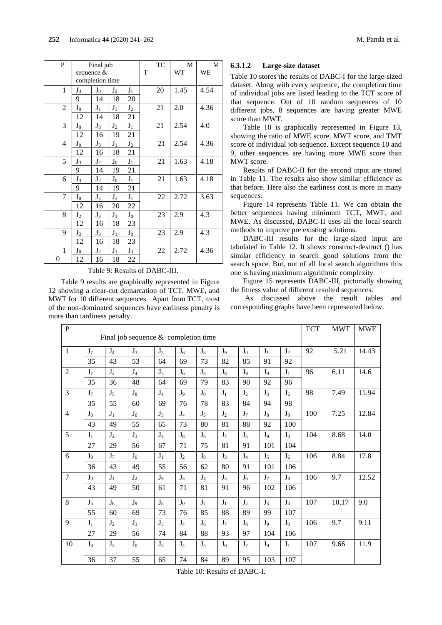| P              |                | Final job       |                |             |   | TC | M    | M    |
|----------------|----------------|-----------------|----------------|-------------|---|----|------|------|
|                |                | sequence &      |                |             | T |    | WT   | WE   |
|                |                | completion time |                |             |   |    |      |      |
| 1              | $\mathrm{J}_3$ | $J_0$           | J <sub>2</sub> | $J_1$       |   | 20 | 1.45 | 4.54 |
|                | 9              | 14              | 18             | 20          |   |    |      |      |
| $\overline{2}$ | $J_0$          | $J_1$           | $J_3$          | $J_2$       |   | 21 | 2.0  | 4.36 |
|                | 12             | 14              | 18             | 21          |   |    |      |      |
| 3              | $\mathbf{J}_0$ | $J_3$           | $J_2$          | $J_1$       |   | 21 | 2.54 | 4.0  |
|                | 12             | 16              | 19             | 21          |   |    |      |      |
| 4              | ${\bf J}_0$    | $J_3$           | $J_1$          | $J_2$       |   | 21 | 2.54 | 4.36 |
|                | 12             | 16              | 18             | 21          |   |    |      |      |
| 5              | $J_3$          | $J_2$           | $J_0$          | $J_1$       |   | 21 | 1.63 | 4.18 |
|                | 9              | 14              | 19             | 21          |   |    |      |      |
| 6              | $J_3$          | $J_2$           | $J_0$          | $J_1$       |   | 21 | 1.63 | 4.18 |
|                | 9              | 14              | 19             | 21          |   |    |      |      |
| 7              | $J_0$          | J <sub>2</sub>  | $J_3$          | $J_1$       |   | 22 | 2.72 | 3.63 |
|                | 12             | 16              | 20             | 22          |   |    |      |      |
| 8              | $J_2$          | $J_3$           | $J_1$          | $J_0$       |   | 23 | 2.9  | 4.3  |
|                | 12             | 16              | 18             | 23          |   |    |      |      |
| 9              | $J_2$          | $J_3$           | $J_1$          | ${\rm J}_0$ |   | 23 | 2.9  | 4.3  |
|                | 12             | 16              | 18             | 23          |   |    |      |      |
| 1              | $\mathbf{J}_0$ | $J_2$           | $J_1$          | $J_3$       |   | 22 | 2.72 | 4.36 |
| 0              | 12             | 16              | 18             | 22          |   |    |      |      |

Table 9: Results of DABC-III.

Table 9 results are graphically represented in Figure 12 showing a clear-cut demarcation of TCT, MWE, and MWT for 10 different sequences. Apart from TCT, most of the non-dominated sequences have earliness penalty is more than tardiness penalty.

### **6.3.1.2 Large-size dataset**

Table 10 stores the results of DABC-I for the large-sized dataset. Along with every sequence, the completion time of individual jobs are listed leading to the TCT score of that sequence. Out of 10 random sequences of 10 different jobs, 8 sequences are having greater MWE score than MWT.

Table 10 is graphically represented in Figure 13, showing the ratio of MWE score, MWT score, and TMT score of individual job sequence. Except sequence 10 and 9, other sequences are having more MWE score than MWT score.

Results of DABC-II for the second input are stored in Table 11. The results also show similar efficiency as that before. Here also the earliness cost is more in many sequences.

Figure 14 represents Table 11. We can obtain the better sequences having minimum TCT, MWT, and MWE. As discussed, DABC-II uses all the local search methods to improve pre existing solutions.

DABC-III results for the large-sized input are tabulated in Table 12. It shows construct-destruct () has similar efficiency to search good solutions from the search space. But, out of all local search algorithms this one is having maximum algorithmic complexity.

Figure 15 represents DABC-III, pictorially showing the fitness value of different resulted sequences.

As discussed above the result tables and corresponding graphs have been represented below.

| ${\bf P}$      |                |                | Final job sequence $&$ completion time |                |                |                |                |                |                |                | <b>TCT</b> | <b>MWT</b> | <b>MWE</b> |
|----------------|----------------|----------------|----------------------------------------|----------------|----------------|----------------|----------------|----------------|----------------|----------------|------------|------------|------------|
| $\mathbf{1}$   | $J_7$          | $J_4$          | $J_3$                                  | $J_5$          | $J_6$          | $J_8$          | $J_9$          | $J_0$          | $J_1$          | $J_2$          | 92         | 5.21       | 14.43      |
|                | 35             | 43             | 53                                     | 64             | 69             | 73             | 82             | 85             | 91             | 92             |            |            |            |
| $\overline{2}$ | $J_7$          | $J_2$          | $J_4$                                  | $J_5$          | $J_6$          | $J_3$          | $J_8$          | $J_9$          | $J_0$          | $J_1$          | 96         | 6.11       | 14.6       |
|                | 35             | 36             | 48                                     | 64             | 69             | 79             | 83             | 90             | 92             | 96             |            |            |            |
| 3              | $J_7$          | $J_5$          | $J_8$                                  | J <sub>4</sub> | $J_9$          | J <sub>0</sub> | $J_1$          | $J_2$          | $J_3$          | J <sub>6</sub> | 98         | 7.49       | 11.94      |
|                | 35             | 55             | 60                                     | 69             | 76             | 78             | 83             | 84             | 94             | 98             |            |            |            |
| $\overline{4}$ | $J_0$          | $J_1$          | J <sub>6</sub>                         | $J_3$          | $J_4$          | $J_5$          | J <sub>2</sub> | J <sub>7</sub> | $J_8$          | J <sub>9</sub> | 100        | 7.25       | 12.84      |
|                | 43             | 49             | 55                                     | 65             | 73             | 80             | 81             | 88             | 92             | 100            |            |            |            |
| $\overline{5}$ | $J_1$          | $J_2$          | $J_3$                                  | J <sub>4</sub> | $J_8$          | $J_6$          | $J_7$          | $J_5$          | $J_9$          | $J_0$          | 104        | 8.68       | 14.0       |
|                | 27             | 29             | 56                                     | 67             | 71             | 75             | 81             | 91             | 101            | 104            |            |            |            |
| 6              | J <sub>9</sub> | $J_7$          | $J_0$                                  | $J_1$          | $J_2$          | $J_8$          | $J_3$          | $J_4$          | $J_5$          | $J_6$          | 106        | 8.84       | 17.8       |
|                | 36             | 43             | 49                                     | 55             | 56             | 62             | 80             | 91             | 101            | 106            |            |            |            |
| $\overline{7}$ | $J_0$          | $J_1$          | J <sub>2</sub>                         | J <sub>9</sub> | $J_3$          | J <sub>4</sub> | $J_5$          | $J_6$          | $J_7$          | $J_8$          | 106        | 9.7        | 12.52      |
|                | 43             | 49             | 50                                     | 61             | 71             | 81             | 91             | 96             | 102            | 106            |            |            |            |
| 8              | $J_5$          | $J_6$          | J <sub>9</sub>                         | $J_8$          | $J_0$          | $J_7$          | $J_1$          | $J_2$          | $J_3$          | J <sub>4</sub> | 107        | 10.17      | 9.0        |
|                | 55             | 60             | 69                                     | 73             | 76             | 85             | 88             | 89             | 99             | 107            |            |            |            |
| 9              | $J_1$          | $J_2$          | $J_3$                                  | $J_5$          | $J_4$          | $J_6$          | J <sub>7</sub> | $J_8$          | $J_9$          | $J_0$          | 106        | 9.7        | 9.11       |
|                | 27             | 29             | 56                                     | 74             | 84             | 88             | 93             | 97             | 104            | 106            |            |            |            |
| 10             | $J_8$          | J <sub>2</sub> | $J_0$                                  | $J_3$          | J <sub>4</sub> | $J_5$          | $J_6$          | $\mathbf{J}_7$ | J <sub>9</sub> | $\mathbf{J}_1$ | 107        | 9.66       | 11.9       |
|                | 36             | 37             | 55                                     | 65             | 74             | 84             | 89             | 95             | 103            | 107            |            |            |            |

Table 10: Results of DABC-I.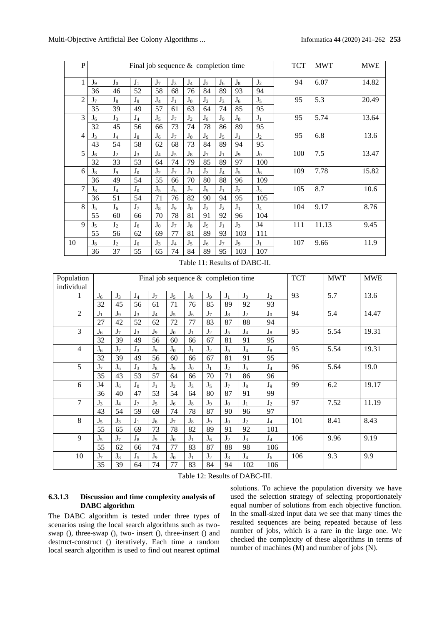Multi-Objective Artificial Bee Colony Algorithms ... Informatica **44** (2020) 241–262 **253**

| $\mathbf{P}$   |                |                | Final job sequence $&$ completion time |       |                |       |                |                |       |                | <b>TCT</b> | <b>MWT</b> | <b>MWE</b> |
|----------------|----------------|----------------|----------------------------------------|-------|----------------|-------|----------------|----------------|-------|----------------|------------|------------|------------|
| $\mathbf{1}$   | $J_9$          | $J_0$          | $J_1$                                  | $J_7$ | $J_3$          | $J_4$ | $J_5$          | $J_6$          | $J_8$ | $J_2$          | 94         | 6.07       | 14.82      |
|                | 36             | 46             | 52                                     | 58    | 68             | 76    | 84             | 89             | 93    | 94             |            |            |            |
| $\overline{c}$ | $J_7$          | $J_8$          | J <sub>9</sub>                         | $J_4$ | $J_1$          | $J_0$ | J <sub>2</sub> | $J_3$          | $J_6$ | $J_5$          | 95         | 5.3        | 20.49      |
|                | 35             | 39             | 49                                     | 57    | 61             | 63    | 64             | 74             | 85    | 95             |            |            |            |
| 3              | J <sub>6</sub> | $J_3$          | $J_4$                                  | $J_5$ | $J_7$          | $J_2$ | $J_8$          | $J_9$          | $J_0$ | $J_1$          | 95         | 5.74       | 13.64      |
|                | 32             | 45             | 56                                     | 66    | 73             | 74    | 78             | 86             | 89    | 95             |            |            |            |
| $\overline{4}$ | $J_3$          | $J_4$          | $J_8$                                  | $J_6$ | $J_7$          | $J_0$ | J <sub>9</sub> | J <sub>5</sub> | $J_1$ | J <sub>2</sub> | 95         | 6.8        | 13.6       |
|                | 43             | 54             | 58                                     | 62    | 68             | 73    | 84             | 89             | 94    | 95             |            |            |            |
| 5              | J <sub>6</sub> | $J_2$          | $J_3$                                  | $J_4$ | $J_5$          | $J_8$ | $J_7$          | $J_1$          | $J_9$ | $J_0$          | 100        | 7.5        | 13.47      |
|                | 32             | 33             | 53                                     | 64    | 74             | 79    | 85             | 89             | 97    | 100            |            |            |            |
| 6              | $J_8$          | J <sub>9</sub> | $J_0$                                  | $J_2$ | $J_7$          | $J_1$ | $J_3$          | $J_4$          | $J_5$ | J <sub>6</sub> | 109        | 7.78       | 15.82      |
|                | 36             | 49             | 54                                     | 55    | 66             | 70    | 80             | 88             | 96    | 109            |            |            |            |
| $\overline{7}$ | $J_8$          | $J_4$          | $J_0$                                  | $J_5$ | J <sub>6</sub> | $J_7$ | J <sub>9</sub> | $J_1$          | $J_2$ | $J_3$          | 105        | 8.7        | 10.6       |
|                | 36             | 51             | 54                                     | 71    | 76             | 82    | 90             | 94             | 95    | 105            |            |            |            |
| 8              | $J_5$          | $J_6$          | $J_7$                                  | $J_8$ | J <sub>9</sub> | $J_0$ | $J_3$          | $J_2$          | $J_1$ | $J_4$          | 104        | 9.17       | 8.76       |
|                | 55             | 60             | 66                                     | 70    | 78             | 81    | 91             | 92             | 96    | 104            |            |            |            |
| 9              | $J_5$          | $J_2$          | $J_6$                                  | $J_0$ | $J_7$          | $J_8$ | J <sub>9</sub> | $J_1$          | $J_3$ | J4             | 111        | 11.13      | 9.45       |
|                | 55             | 56             | 62                                     | 69    | 77             | 81    | 89             | 93             | 103   | 111            |            |            |            |
| 10             | $J_8$          | $J_2$          | $J_0$                                  | $J_3$ | $J_4$          | $J_5$ | J <sub>6</sub> | $J_7$          | $J_9$ | $J_1$          | 107        | 9.66       | 11.9       |
|                | 36             | 37             | 55                                     | 65    | 74             | 84    | 89             | 95             | 103   | 107            |            |            |            |

Table 11: Results of DABC-II.

| Population<br>individual |                |                |                | Final job sequence $&$ completion time |                |                |                |                |                | <b>TCT</b>     | <b>MWT</b> | <b>MWE</b> |       |
|--------------------------|----------------|----------------|----------------|----------------------------------------|----------------|----------------|----------------|----------------|----------------|----------------|------------|------------|-------|
|                          | $J_6$          | $J_3$          | $J_4$          | $J_7$                                  | $J_5$          | $J_8$          | J <sub>9</sub> | $J_1$          | $J_0$          | $J_2$          | 93         | 5.7        | 13.6  |
|                          | 32             | 45             | 56             | 61                                     | 71             | 76             | 85             | 89             | 92             | 93             |            |            |       |
| $\mathfrak{2}$           | $J_1$          | J <sub>9</sub> | $J_3$          | $J_4$                                  | $J_5$          | J <sub>6</sub> | $J_7$          | $J_8$          | $J_2$          | $J_0$          | 94         | 5.4        | 14.47 |
|                          | 27             | 42             | 52             | 62                                     | 72             | 77             | 83             | 87             | 88             | 94             |            |            |       |
| 3                        | J <sub>6</sub> | J <sub>7</sub> | $J_3$          | J <sub>9</sub>                         | J <sub>0</sub> | $J_1$          | J <sub>2</sub> | $J_5$          | J <sub>4</sub> | $J_8$          | 95         | 5.54       | 19.31 |
|                          | 32             | 39             | 49             | 56                                     | 60             | 66             | 67             | 81             | 91             | 95             |            |            |       |
| $\overline{\mathcal{L}}$ | J <sub>6</sub> | $J_7$          | $J_3$          | J <sub>9</sub>                         | $J_0$          | $J_1$          | J <sub>2</sub> | $J_5$          | $J_4$          | $J_8$          | 95         | 5.54       | 19.31 |
|                          | 32             | 39             | 49             | 56                                     | 60             | 66             | 67             | 81             | 91             | 95             |            |            |       |
| 5                        | J <sub>7</sub> | J <sub>6</sub> | $J_3$          | $J_8$                                  | J <sub>9</sub> | $J_0$          | $J_1$          | $J_2$          | $J_5$          | $J_4$          | 96         | 5.64       | 19.0  |
|                          | 35             | 43             | 53             | 57                                     | 64             | 66             | 70             | 71             | 86             | 96             |            |            |       |
| 6                        | J4             | J <sub>6</sub> | $J_0$          | $J_1$                                  | J <sub>2</sub> | $J_3$          | $J_5$          | J <sub>7</sub> | $J_8$          | J <sub>9</sub> | 99         | 6.2        | 19.17 |
|                          | 36             | 40             | 47             | 53                                     | 54             | 64             | 80             | 87             | 91             | 99             |            |            |       |
| 7                        | $J_3$          | $J_4$          | J <sub>7</sub> | $J_5$                                  | J <sub>6</sub> | $J_8$          | J <sub>9</sub> | $J_0$          | $J_1$          | $J_2$          | 97         | 7.52       | 11.19 |
|                          | 43             | 54             | 59             | 69                                     | 74             | 78             | 87             | 90             | 96             | 97             |            |            |       |
| 8                        | $J_5$          | $J_3$          | $J_1$          | $J_6$                                  | J <sub>7</sub> | $J_8$          | J <sub>9</sub> | $J_0$          | $J_2$          | $J_4$          | 101        | 8.41       | 8.43  |
|                          | 55             | 65             | 69             | 73                                     | 78             | 82             | 89             | 91             | 92             | 101            |            |            |       |
| 9                        | $J_5$          | J <sub>7</sub> | $J_8$          | J <sub>9</sub>                         | $J_0$          | $J_1$          | $J_6$          | J <sub>2</sub> | $J_3$          | $J_4$          | 106        | 9.96       | 9.19  |
|                          | 55             | 62             | 66             | 74                                     | 77             | 83             | 87             | 88             | 98             | 106            |            |            |       |
| 10                       | J <sub>7</sub> | $J_8$          | $J_5$          | J <sub>9</sub>                         | $J_0$          | $J_1$          | J <sub>2</sub> | $J_3$          | $J_4$          | $J_6$          | 106        | 9.3        | 9.9   |
|                          | 35             | 39             | 64             | 74                                     | 77             | 83             | 84             | 94             | 102            | 106            |            |            |       |

Table 12: Results of DABC-III.

### **6.3.1.3 Discussion and time complexity analysis of DABC algorithm**

The DABC algorithm is tested under three types of scenarios using the local search algorithms such as twoswap (), three-swap (), two- insert (), three-insert () and destruct-construct () iteratively. Each time a random local search algorithm is used to find out nearest optimal

solutions. To achieve the population diversity we have used the selection strategy of selecting proportionately equal number of solutions from each objective function. In the small-sized input data we see that many times the resulted sequences are being repeated because of less number of jobs, which is a rare in the large one. We checked the complexity of these algorithms in terms of number of machines (M) and number of jobs (N).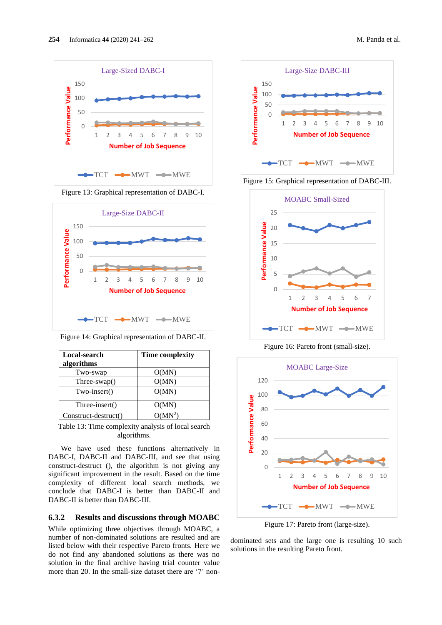





Figure 14: Graphical representation of DABC-II.

| Local-search<br>algorithms | <b>Time complexity</b> |
|----------------------------|------------------------|
| Two-swap                   | O(MN)                  |
| $Three-swap()$             | O(MN)                  |
| Two-insert()               | O(MN)                  |
| Three-insert()             | O(MN)                  |
| Construct-destruct()       |                        |

Table 13: Time complexity analysis of local search algorithms.

We have used these functions alternatively in DABC-I, DABC-II and DABC-III, and see that using construct-destruct (), the algorithm is not giving any significant improvement in the result. Based on the time complexity of different local search methods, we conclude that DABC-I is better than DABC-II and DABC-II is better than DABC-III.

### **6.3.2 Results and discussions through MOABC**

While optimizing three objectives through MOABC, a number of non-dominated solutions are resulted and are listed below with their respective Pareto fronts. Here we do not find any abandoned solutions as there was no solution in the final archive having trial counter value more than 20. In the small-size dataset there are '7' non-







Figure 16: Pareto front (small-size).



Figure 17: Pareto front (large-size).

dominated sets and the large one is resulting 10 such solutions in the resulting Pareto front.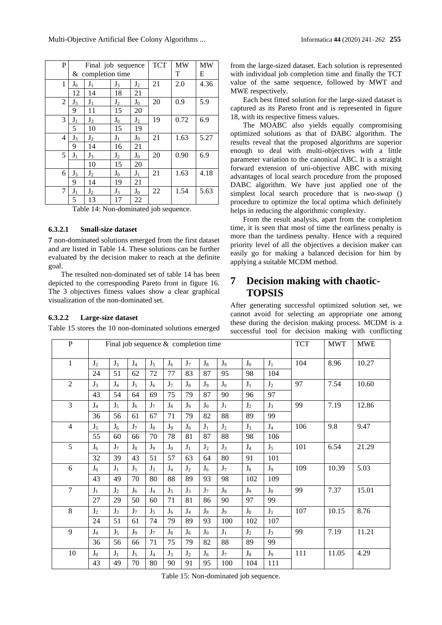Multi-Objective Artificial Bee Colony Algorithms ... Informatica **44** (2020) 241–262 **255**

| P |         | Final job sequence |       |       | <b>TCT</b> | <b>MW</b> | <b>MW</b> |
|---|---------|--------------------|-------|-------|------------|-----------|-----------|
|   |         | & completion time  |       |       |            | T         | E         |
| 1 | $J_0$   | $J_1$              | $J_3$ | $J_2$ | 21         | 2.0       | 4.36      |
|   | 12      | 14                 | 18    | 21    |            |           |           |
| 2 | $J_{3}$ | $J_1$              | $J_2$ | $J_0$ | 20         | 0.9       | 5.9       |
|   | 9       | 11                 | 15    | 20    |            |           |           |
| 3 | $J_1$   | $J_3$              | $J_0$ | $J_2$ | 19         | 0.72      | 6.9       |
|   | 5       | 10                 | 15    | 19    |            |           |           |
| 4 | $J_{3}$ | $J_2$              | $J_1$ | $J_0$ | 21         | 1.63      | 5.27      |
|   | 9       | 14                 | 16    | 21    |            |           |           |
| 5 | $J_1$   | $J_3$              | $J_2$ | $J_0$ | 20         | 0.90      | 6.9       |
|   |         | 10                 | 15    | 20    |            |           |           |
| 6 | $J_3$   | $J_2$              | $J_0$ | $J_1$ | 21         | 1.63      | 4.18      |
|   | 9       | 14                 | 19    | 21    |            |           |           |
| 7 | $J_1$   | $J_2$              | $J_3$ | $J_0$ | 22         | 1.54      | 5.63      |
|   | 5       | 13                 | 17    | 22    |            |           |           |

Table 14: Non-dominated job sequence.

### **6.3.2.1 Small-size dataset**

**7** non-dominated solutions emerged from the first dataset and are listed in Table 14. These solutions can be further evaluated by the decision maker to reach at the definite goal.

The resulted non-dominated set of table 14 has been depicted to the corresponding Pareto front in figure 16. The 3 objectives fitness values show a clear graphical visualization of the non-dominated set.

### **6.3.2.2 Large-size dataset**

Table 15 stores the 10 non-dominated solutions emerged

from the large-sized dataset. Each solution is represented with individual job completion time and finally the TCT value of the same sequence, followed by MWT and MWE respectively.

Each best fitted solution for the large-sized dataset is captured as its Pareto front and is represented in figure 18, with its respective fitness values.

The MOABC also yields equally compromising optimized solutions as that of DABC algorithm. The results reveal that the proposed algorithms are superior enough to deal with multi-objectives with a little parameter variation to the canonical ABC. It is a straight forward extension of uni-objective ABC with mixing advantages of local search procedure from the proposed DABC algorithm. We have just applied one of the simplest local search procedure that is *two-swap* () procedure to optimize the local optima which definitely helps in reducing the algorithmic complexity.

From the result analysis, apart from the completion time, it is seen that most of time the earliness penalty is more than the tardiness penalty. Hence with a required priority level of all the objectives a decision maker can easily go for making a balanced decision for him by applying a suitable MCDM method.

# **7 Decision making with chaotic-TOPSIS**

After generating successful optimized solution set, we cannot avoid for selecting an appropriate one among these during the decision making process. MCDM is a successful tool for decision making with conflicting

| ${\bf P}$      |                | Final job sequence $&$ completion time |                |                |                |                |                |       |                |                | <b>TCT</b> | <b>MWT</b> | <b>MWE</b> |
|----------------|----------------|----------------------------------------|----------------|----------------|----------------|----------------|----------------|-------|----------------|----------------|------------|------------|------------|
| 1              | J <sub>2</sub> | $J_3$                                  | $J_4$          | $J_5$          | $J_6$          | J <sub>7</sub> | $J_8$          | $J_9$ | $J_0$          | $J_1$          | 104        | 8.96       | 10.27      |
|                | 24             | 51                                     | 62             | 72             | 77             | 83             | 87             | 95    | 98             | 104            |            |            |            |
| $\overline{2}$ | $J_3$          | $J_4$                                  | $J_5$          | $J_6$          | $J_7$          | $J_8$          | J <sub>9</sub> | $J_0$ | $J_1$          | $J_2$          | 97         | 7.54       | 10.60      |
|                | 43             | 54                                     | 64             | 69             | 75             | 79             | 87             | 90    | 96             | 97             |            |            |            |
| 3              | J <sub>4</sub> | $J_5$                                  | $J_6$          | J <sub>7</sub> | $J_8$          | J <sub>9</sub> | $J_0$          | $J_1$ | J <sub>2</sub> | $J_3$          | 99         | 7.19       | 12.86      |
|                | 36             | 56                                     | 61             | 67             | 71             | 79             | 82             | 88    | 89             | 99             |            |            |            |
| $\overline{4}$ | $J_5$          | $J_6$                                  | $J_7$          | $J_8$          | J <sub>9</sub> | $J_0$          | $J_1$          | $J_2$ | $J_3$          | $J_4$          | 106        | 9.8        | 9.47       |
|                | 55             | 60                                     | 66             | 70             | 78             | 81             | 87             | 88    | 98             | 106            |            |            |            |
| 5              | $J_6$          | J <sub>7</sub>                         | $J_8$          | J <sub>9</sub> | $J_0$          | $J_1$          | $J_2$          | $J_3$ | $J_4$          | $J_5$          | 101        | 6.54       | 21.29      |
|                | 32             | 39                                     | 43             | 51             | 57             | 63             | 64             | 80    | 91             | 101            |            |            |            |
| 6              | $J_0$          | $J_1$                                  | $J_5$          | $J_3$          | $J_4$          | $J_2$          | J <sub>6</sub> | $J_7$ | $J_8$          | $J_9$          | 109        | 10.39      | 5.03       |
|                | 43             | 49                                     | 70             | 80             | 88             | 89             | 93             | 98    | 102            | 109            |            |            |            |
| $\overline{7}$ | $J_1$          | $J_2$                                  | J <sub>6</sub> | J <sub>4</sub> | $J_5$          | $J_3$          | J <sub>7</sub> | $J_8$ | J <sub>9</sub> | $J_0$          | 99         | 7.37       | 15.01      |
|                | 27             | 29                                     | 50             | 60             | 71             | 81             | 86             | 90    | 97             | 99             |            |            |            |
| 8              | J <sub>2</sub> | $J_3$                                  | J <sub>7</sub> | $J_5$          | J <sub>6</sub> | J <sub>4</sub> | $J_8$          | $J_9$ | $J_0$          | $J_1$          | 107        | 10.15      | 8.76       |
|                | 24             | 51                                     | 61             | 74             | 79             | 89             | 93             | 100   | 102            | 107            |            |            |            |
| 9              | $J_4$          | $J_5$                                  | J <sub>9</sub> | J <sub>7</sub> | $J_8$          | $J_6$          | $J_0$          | $J_1$ | J <sub>2</sub> | $J_3$          | 99         | 7.19       | 11.21      |
|                | 36             | 56                                     | 66             | 71             | 75             | 79             | 82             | 88    | 89             | 99             |            |            |            |
| 10             | $J_0$          | $J_1$                                  | $J_5$          | $J_4$          | $J_3$          | $J_2$          | $J_6$          | $J_7$ | $J_8$          | J <sub>9</sub> | 111        | 11.05      | 4.29       |
|                | 43             | 49                                     | 70             | 80             | 90             | 91             | 95             | 100   | 104            | 111            |            |            |            |

Table 15: Non-dominated job sequence.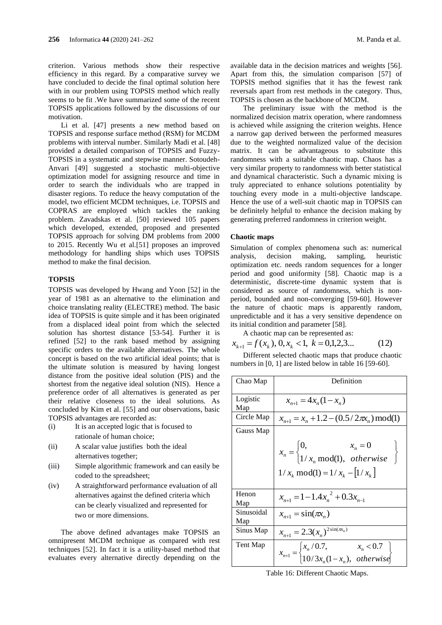criterion. Various methods show their respective efficiency in this regard. By a comparative survey we have concluded to decide the final optimal solution here with in our problem using TOPSIS method which really seems to be fit .We have summarized some of the recent TOPSIS applications followed by the discussions of our motivation.

Li et al. [47] presents a new method based on TOPSIS and response surface method (RSM) for MCDM problems with interval number. Similarly Madi et al. [48] provided a detailed comparison of TOPSIS and Fuzzy-TOPSIS in a systematic and stepwise manner. Sotoudeh-Anvari [49] suggested a stochastic multi-objective optimization model for assigning resource and time in order to search the individuals who are trapped in disaster regions. To reduce the heavy computation of the model, two efficient MCDM techniques, i.e. TOPSIS and COPRAS are employed which tackles the ranking problem. Zavadskas et al. [50] reviewed 105 papers which developed, extended, proposed and presented TOPSIS approach for solving DM problems from 2000 to 2015. Recently Wu et al.[51] proposes an improved methodology for handling ships which uses TOPSIS method to make the final decision.

### **TOPSIS**

TOPSIS was developed by Hwang and Yoon [52] in the year of 1981 as an alternative to the elimination and choice translating reality (ELECTRE) method. The basic idea of TOPSIS is quite simple and it has been originated from a displaced ideal point from which the selected solution has shortest distance [53-54]. Further it is refined [52] to the rank based method by assigning specific orders to the available alternatives. The whole concept is based on the two artificial ideal points; that is the ultimate solution is measured by having longest distance from the positive ideal solution (PIS) and the shortest from the negative ideal solution (NIS). Hence a preference order of all alternatives is generated as per their relative closeness to the ideal solutions. As concluded by Kim et al. [55] and our observations, basic TOPSIS advantages are recorded as:

- (i) It is an accepted logic that is focused to rationale of human choice;
- (ii) A scalar value justifies both the ideal alternatives together;
- (iii) Simple algorithmic framework and can easily be coded to the spreadsheet;
- (iv) A straightforward performance evaluation of all alternatives against the defined criteria which can be clearly visualized and represented for two or more dimensions.

The above defined advantages make TOPSIS an omnipresent MCDM technique as compared with rest techniques [52]. In fact it is a utility-based method that evaluates every alternative directly depending on the available data in the decision matrices and weights [56]. Apart from this, the simulation comparison [57] of TOPSIS method signifies that it has the fewest rank reversals apart from rest methods in the category. Thus, TOPSIS is chosen as the backbone of MCDM.

The preliminary issue with the method is the normalized decision matrix operation, where randomness is achieved while assigning the criterion weights. Hence a narrow gap derived between the performed measures due to the weighted normalized value of the decision matrix. It can be advantageous to substitute this randomness with a suitable chaotic map. Chaos has a very similar property to randomness with better statistical and dynamical characteristic. Such a dynamic mixing is truly appreciated to enhance solutions potentiality by touching every mode in a multi-objective landscape. Hence the use of a well-suit chaotic map in TOPSIS can be definitely helpful to enhance the decision making by generating preferred randomness in criterion weight.

#### **Chaotic maps**

Simulation of complex phenomena such as: numerical analysis, decision making, sampling, heuristic optimization etc. needs random sequences for a longer period and good uniformity [58]. Chaotic map is a deterministic, discrete-time dynamic system that is considered as source of randomness, which is nonperiod, bounded and non-converging [59-60]. However the nature of chaotic maps is apparently random, unpredictable and it has a very sensitive dependence on its initial condition and parameter [58].

A chaotic map can be represented as:

$$
x_{k+1} = f(x_k), 0, x_k < 1, k = 0, 1, 2, 3... \tag{12}
$$

Different selected chaotic maps that produce chaotic numbers in [0, 1] are listed below in table 16 [59-60].

| Chao Map          | Definition                                                                                                        |
|-------------------|-------------------------------------------------------------------------------------------------------------------|
| Logistic<br>Map   | $x_{n+1} = 4x_n(1-x_n)$                                                                                           |
| Circle Map        | $x_{n+1} = x_n + 1.2 - (0.5/2\pi x_n) \mod{1}$                                                                    |
| Gauss Map         | $x_n =\begin{cases} 0, & x_n = 0 \\ 1/x_n \bmod(1), & otherwise \end{cases}$<br>$1/x_k \mod(1) = 1/x_k - [1/x_k]$ |
| Henon<br>Map      | $x_{n+1} = 1 - 1.4x_n^2 + 0.3x_{n-1}$                                                                             |
| Sinusoidal<br>Map | $x_{n+1} = \sin(\pi x_n)$                                                                                         |
| Sinus Map         | $x_{n+1} = 2.3(x_n)^{2\sin(\pi x_n)}$                                                                             |
| Tent Map          | $x_{n+1} = \begin{cases} x_n/0.7, & x_n < 0.7 \\ 10/3x_n(1-x_n), & otherwise \end{cases}$                         |

Table 16: Different Chaotic Maps.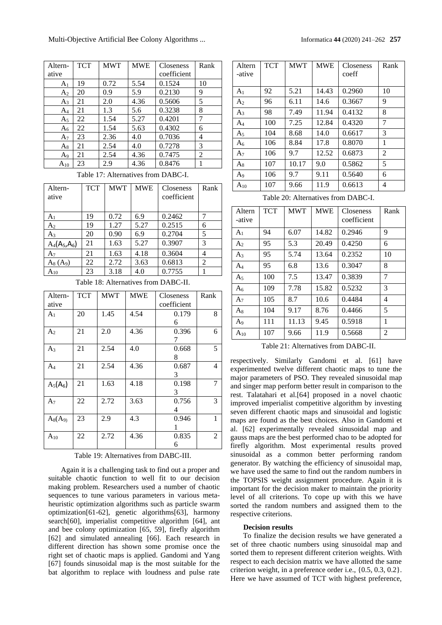| Altern-        | <b>TCT</b> | <b>MWT</b> | <b>MWE</b> | Closeness   | Rank |
|----------------|------------|------------|------------|-------------|------|
| ative          |            |            |            | coefficient |      |
| A <sub>1</sub> | 19         | 0.72       | 5.54       | 0.1524      | 10   |
| A <sub>2</sub> | 20         | 0.9        | 5.9        | 0.2130      | 9    |
| $A_3$          | 21         | 2.0        | 4.36       | 0.5606      | 5    |
| $A_4$          | 21         | 1.3        | 5.6        | 0.3238      | 8    |
| $A_5$          | 22         | 1.54       | 5.27       | 0.4201      | 7    |
| $A_6$          | 22         | 1.54       | 5.63       | 0.4302      | 6    |
| $A_7$          | 23         | 2.36       | 4.0        | 0.7036      | 4    |
| $A_8$          | 21         | 2.54       | 4.0        | 0.7278      | 3    |
| $A_9$          | 21         | 2.54       | 4.36       | 0.7475      | 2    |
| $A_{10}$       | 23         | 2.9        | 4.36       | 0.8476      |      |

Table 17: Alternatives from DABC-I.

| Altern-<br>ative | <b>TCT</b> | <b>MWT</b> | <b>MWE</b> | <b>Closeness</b><br>coefficient | Rank           |
|------------------|------------|------------|------------|---------------------------------|----------------|
|                  |            |            |            |                                 |                |
| A <sub>1</sub>   | 19         | 0.72       | 6.9        | 0.2462                          |                |
| $A_2$            | 19         | 1.27       | 5.27       | 0.2515                          | 6              |
| A3               | 20         | 0.90       | 6.9        | 0.2704                          | 5              |
| $A_4(A_5, A_6)$  | 21         | 1.63       | 5.27       | 0.3907                          | 3              |
| A7               | 21         | 1.63       | 4.18       | 0.3604                          | 4              |
| $A_8(A_9)$       | 22         | 2.72       | 3.63       | 0.6813                          | $\overline{c}$ |
| $A_{10}$         | 23         | 3.18       | 4.0        | 0.7755                          |                |

Table 18: Alternatives from DABC-II.

| Altern-<br>ative | <b>TCT</b> | <b>MWT</b> | <b>MWE</b> | Closeness<br>coefficient | Rank |
|------------------|------------|------------|------------|--------------------------|------|
| A <sub>1</sub>   | 20         | 1.45       | 4.54       | 0.179                    | 8    |
| A <sub>2</sub>   | 21         | 2.0        | 4.36       | 6<br>0.396<br>7          | 6    |
| $A_3$            | 21         | 2.54       | 4.0        | 0.668<br>8               | 5    |
| $A_4$            | 21         | 2.54       | 4.36       | 0.687                    | 4    |
| $A_5(A_6)$       | 21         | 1.63       | 4.18       | 3<br>0.198<br>3          | 7    |
| A <sub>7</sub>   | 22         | 2.72       | 3.63       | 0.756<br>4               | 3    |
| $A_8(A_9)$       | 23         | 2.9        | 4.3        | 0.946                    | 1    |
| $A_{10}$         | 22         | 2.72       | 4.36       | 0.835<br>6               | 2    |

#### Table 19: Alternatives from DABC-III.

Again it is a challenging task to find out a proper and suitable chaotic function to well fit to our decision making problem. Researchers used a number of chaotic sequences to tune various parameters in various metaheuristic optimization algorithms such as particle swarm optimization[61-62], genetic algorithms[63], harmony search[60], imperialist competitive algorithm [64], ant and bee colony optimization [65, 59], firefly algorithm [62] and simulated annealing [66]. Each research in different direction has shown some promise once the right set of chaotic maps is applied. Gandomi and Yang [67] founds sinusoidal map is the most suitable for the bat algorithm to replace with loudness and pulse rate

| Altern<br>-ative | <b>TCT</b> | <b>MWT</b> | <b>MWE</b> | <b>Closeness</b><br>coeff | Rank |
|------------------|------------|------------|------------|---------------------------|------|
| A <sub>1</sub>   | 92         | 5.21       | 14.43      | 0.2960                    | 10   |
| A <sub>2</sub>   | 96         | 6.11       | 14.6       | 0.3667                    | 9    |
| $A_3$            | 98         | 7.49       | 11.94      | 0.4132                    | 8    |
| $A_4$            | 100        | 7.25       | 12.84      | 0.4320                    | 7    |
| A <sub>5</sub>   | 104        | 8.68       | 14.0       | 0.6617                    | 3    |
| A <sub>6</sub>   | 106        | 8.84       | 17.8       | 0.8070                    | 1    |
| A <sub>7</sub>   | 106        | 9.7        | 12.52      | 0.6873                    | 2    |
| $A_8$            | 107        | 10.17      | 9.0        | 0.5862                    | 5    |
| A9               | 106        | 9.7        | 9.11       | 0.5640                    | 6    |
| $A_{10}$         | 107        | 9.66       | 11.9       | 0.6613                    | 4    |

Table 20: Alternatives from DABC-I.

| Altern<br>-ative | <b>TCT</b> | <b>MWT</b> | <b>MWE</b> | Closeness<br>coefficient | Rank |
|------------------|------------|------------|------------|--------------------------|------|
| A <sub>1</sub>   | 94         | 6.07       | 14.82      | 0.2946                   | 9    |
| A <sub>2</sub>   | 95         | 5.3        | 20.49      | 0.4250                   | 6    |
| $A_3$            | 95         | 5.74       | 13.64      | 0.2352                   | 10   |
| $A_4$            | 95         | 6.8        | 13.6       | 0.3047                   | 8    |
| A <sub>5</sub>   | 100        | 7.5        | 13.47      | 0.3839                   | 7    |
| $A_6$            | 109        | 7.78       | 15.82      | 0.5232                   | 3    |
| A <sub>7</sub>   | 105        | 8.7        | 10.6       | 0.4484                   | 4    |
| $A_8$            | 104        | 9.17       | 8.76       | 0.4466                   | 5    |
| A <sub>9</sub>   | 111        | 11.13      | 9.45       | 0.5918                   | 1    |
| $A_{10}$         | 107        | 9.66       | 11.9       | 0.5668                   | 2    |

Table 21: Alternatives from DABC-II.

respectively. Similarly Gandomi et al. [61] have experimented twelve different chaotic maps to tune the major parameters of PSO. They revealed sinusoidal map and singer map perform better result in comparison to the rest. Talatahari et al.[64] proposed in a novel chaotic improved imperialist competitive algorithm by investing seven different chaotic maps and sinusoidal and logistic maps are found as the best choices. Also in Gandomi et al. [62] experimentally revealed sinusoidal map and gauss maps are the best performed chao to be adopted for firefly algorithm. Most experimental results proved sinusoidal as a common better performing random generator. By watching the efficiency of sinusoidal map, we have used the same to find out the random numbers in the TOPSIS weight assignment procedure. Again it is important for the decision maker to maintain the priority level of all criterions. To cope up with this we have sorted the random numbers and assigned them to the respective criterions.

#### **Decision results**

To finalize the decision results we have generated a set of three chaotic numbers using sinusoidal map and sorted them to represent different criterion weights. With respect to each decision matrix we have allotted the same criterion weight, in a preference order i.e., {0.5, 0.3, 0.2}. Here we have assumed of TCT with highest preference,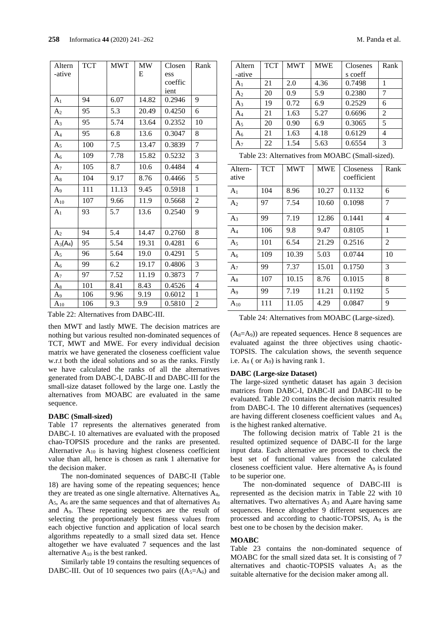| Altern         | <b>TCT</b> | <b>MWT</b> | <b>MW</b> | Closen  | Rank           |
|----------------|------------|------------|-----------|---------|----------------|
| -ative         |            |            | E         | ess     |                |
|                |            |            |           | coeffic |                |
|                |            |            |           | ient    |                |
| A <sub>1</sub> | 94         | 6.07       | 14.82     | 0.2946  | 9              |
| A <sub>2</sub> | 95         | 5.3        | 20.49     | 0.4250  | 6              |
| $A_3$          | 95         | 5.74       | 13.64     | 0.2352  | 10             |
| $A_4$          | 95         | 6.8        | 13.6      | 0.3047  | 8              |
| A <sub>5</sub> | 100        | 7.5        | 13.47     | 0.3839  | 7              |
| A <sub>6</sub> | 109        | 7.78       | 15.82     | 0.5232  | 3              |
| A <sub>7</sub> | 105        | 8.7        | 10.6      | 0.4484  | 4              |
| $A_8$          | 104        | 9.17       | 8.76      | 0.4466  | 5              |
| A <sub>9</sub> | 111        | 11.13      | 9.45      | 0.5918  | 1              |
| $A_{10}$       | 107        | 9.66       | 11.9      | 0.5668  | 2              |
| A <sub>1</sub> | 93         | 5.7        | 13.6      | 0.2540  | 9              |
|                |            |            |           |         |                |
| A <sub>2</sub> | 94         | 5.4        | 14.47     | 0.2760  | 8              |
| $A_3(A_4)$     | 95         | 5.54       | 19.31     | 0.4281  | 6              |
| A <sub>5</sub> | 96         | 5.64       | 19.0      | 0.4291  | 5              |
| A <sub>6</sub> | 99         | 6.2        | 19.17     | 0.4806  | 3              |
| A <sub>7</sub> | 97         | 7.52       | 11.19     | 0.3873  | 7              |
| $A_8$          | 101        | 8.41       | 8.43      | 0.4526  | 4              |
| $A_9$          | 106        | 9.96       | 9.19      | 0.6012  | $\mathbf{1}$   |
| $A_{10}$       | 106        | 9.3        | 9.9       | 0.5810  | $\overline{2}$ |

Table 22: Alternatives from DABC-III.

then MWT and lastly MWE. The decision matrices are nothing but various resulted non-dominated sequences of TCT, MWT and MWE. For every individual decision matrix we have generated the closeness coefficient value w.r.t both the ideal solutions and so as the ranks. Firstly we have calculated the ranks of all the alternatives generated from DABC-I, DABC-II and DABC-III for the small-size dataset followed by the large one. Lastly the alternatives from MOABC are evaluated in the same sequence.

#### **DABC (Small-sized)**

Table 17 represents the alternatives generated from DABC-I. 10 alternatives are evaluated with the proposed chao-TOPSIS procedure and the ranks are presented. Alternative  $A_{10}$  is having highest closeness coefficient value than all, hence is chosen as rank 1 alternative for the decision maker.

The non-dominated sequences of DABC-II (Table 18) are having some of the repeating sequences; hence they are treated as one single alternative. Alternatives A4,  $A_5$ ,  $A_6$  are the same sequences and that of alternatives  $A_8$ and A9. These repeating sequences are the result of selecting the proportionately best fitness values from each objective function and application of local search algorithms repeatedly to a small sized data set. Hence altogether we have evaluated 7 sequences and the last alternative  $A_{10}$  is the best ranked.

Similarly table 19 contains the resulting sequences of DABC-III. Out of 10 sequences two pairs  $((A_5= A_6)$  and

| Altern         | <b>TCT</b> | <b>MWT</b> | <b>MWE</b> | Closenes | Rank           |
|----------------|------------|------------|------------|----------|----------------|
| -ative         |            |            |            | s coeff  |                |
| A <sub>1</sub> | 21         | 2.0        | 4.36       | 0.7498   |                |
| A <sub>2</sub> | 20         | 0.9        | 5.9        | 0.2380   | 7              |
| $A_3$          | 19         | 0.72       | 6.9        | 0.2529   | 6              |
| A4             | 21         | 1.63       | 5.27       | 0.6696   | $\overline{2}$ |
| A <sub>5</sub> | 20         | 0.90       | 6.9        | 0.3065   | 5              |
| $\rm A_6$      | 21         | 1.63       | 4.18       | 0.6129   | 4              |
| $A_7$          | 22         | 1.54       | 5.63       | 0.6554   | 3              |

Table 23: Alternatives from MOABC (Small-sized).

| Altern-<br>ative | <b>TCT</b> | <b>MWT</b> | <b>MWE</b> | Closeness<br>coefficient | Rank |
|------------------|------------|------------|------------|--------------------------|------|
| A <sub>1</sub>   | 104        | 8.96       | 10.27      | 0.1132                   | 6    |
| A <sub>2</sub>   | 97         | 7.54       | 10.60      | 0.1098                   | 7    |
| $A_3$            | 99         | 7.19       | 12.86      | 0.1441                   | 4    |
| $A_4$            | 106        | 9.8        | 9.47       | 0.8105                   | 1    |
| A <sub>5</sub>   | 101        | 6.54       | 21.29      | 0.2516                   | 2    |
| A <sub>6</sub>   | 109        | 10.39      | 5.03       | 0.0744                   | 10   |
| A <sub>7</sub>   | 99         | 7.37       | 15.01      | 0.1750                   | 3    |
| $A_8$            | 107        | 10.15      | 8.76       | 0.1015                   | 8    |
| A9               | 99         | 7.19       | 11.21      | 0.1192                   | 5    |
| $\rm A_{10}$     | 111        | 11.05      | 4.29       | 0.0847                   | 9    |
|                  |            |            |            |                          |      |

Table 24: Alternatives from MOABC (Large-sized).

 $(A_8= A_9)$  are repeated sequences. Hence 8 sequences are evaluated against the three objectives using chaotic-TOPSIS. The calculation shows, the seventh sequence i.e.  $A_8$  ( or  $A_9$ ) is having rank 1.

#### **DABC (Large-size Dataset)**

The large-sized synthetic dataset has again 3 decision matrices from DABC-I, DABC-II and DABC-III to be evaluated. Table 20 contains the decision matrix resulted from DABC-I. The 10 different alternatives (sequences) are having different closeness coefficient values and  $A_6$ is the highest ranked alternative.

The following decision matrix of Table 21 is the resulted optimized sequence of DABC-II for the large input data. Each alternative are processed to check the best set of functional values from the calculated closeness coefficient value. Here alternative A<sup>9</sup> is found to be superior one.

The non-dominated sequence of DABC-III is represented as the decision matrix in Table 22 with 10 alternatives. Two alternatives  $A_3$  and  $A_4$ are having same sequences. Hence altogether 9 different sequences are processed and according to chaotic-TOPSIS, A<sup>9</sup> is the best one to be chosen by the decision maker.

### **MOABC**

Table 23 contains the non-dominated sequence of MOABC for the small sized data set. It is consisting of 7 alternatives and chaotic-TOPSIS valuates  $A_1$  as the suitable alternative for the decision maker among all.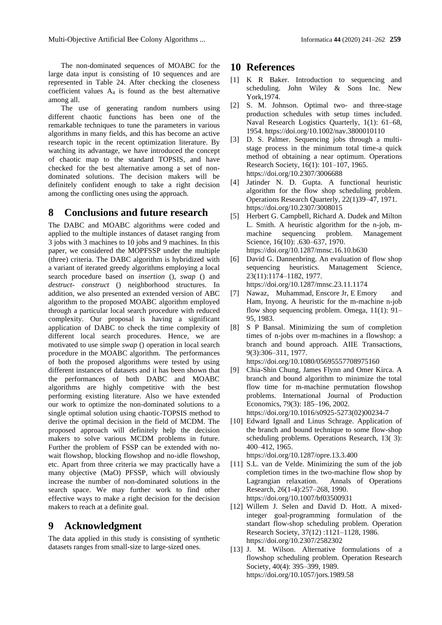The non-dominated sequences of MOABC for the large data input is consisting of 10 sequences and are represented in Table 24. After checking the closeness coefficient values  $A_4$  is found as the best alternative among all.

The use of generating random numbers using different chaotic functions has been one of the remarkable techniques to tune the parameters in various algorithms in many fields, and this has become an active research topic in the recent optimization literature. By watching its advantage, we have introduced the concept of chaotic map to the standard TOPSIS, and have checked for the best alternative among a set of nondominated solutions. The decision makers will be definitely confident enough to take a right decision among the conflicting ones using the approach.

## **8 Conclusions and future research**

The DABC and MOABC algorithms were coded and applied to the multiple instances of dataset ranging from 3 jobs with 3 machines to 10 jobs and 9 machines. In this paper, we considered the MOPFSSP under the multiple (three) criteria. The DABC algorithm is hybridized with a variant of iterated greedy algorithms employing a local search procedure based on *insertion* (), *swap* () and *destruct- construct* () neighborhood structures. In addition, we also presented an extended version of ABC algorithm to the proposed MOABC algorithm employed through a particular local search procedure with reduced complexity. Our proposal is having a significant application of DABC to check the time complexity of different local search procedures. Hence, we are motivated to use simple *swap* () operation in local search procedure in the MOABC algorithm. The performances of both the proposed algorithms were tested by using different instances of datasets and it has been shown that the performances of both DABC and MOABC algorithms are highly competitive with the best performing existing literature. Also we have extended our work to optimize the non-dominated solutions to a single optimal solution using chaotic-TOPSIS method to derive the optimal decision in the field of MCDM. The proposed approach will definitely help the decision makers to solve various MCDM problems in future. Further the problem of FSSP can be extended with nowait flowshop, blocking flowshop and no-idle flowshop, etc. Apart from three criteria we may practically have a many objective (MaO) PFSSP, which will obviously increase the number of non-dominated solutions in the search space. We may further work to find other effective ways to make a right decision for the decision makers to reach at a definite goal.

## **9 Acknowledgment**

The data applied in this study is consisting of synthetic datasets ranges from small-size to large-sized ones.

## **10 References**

- [1] K R Baker. Introduction to sequencing and scheduling. John Wiley & Sons Inc. New York,1974.
- [2] S. M. Johnson. Optimal two- and three-stage production schedules with setup times included. Naval Research Logistics Quarterly, 1(1): 61–68, 1954. <https://doi.org/10.1002/nav.3800010110>
- [3] D. S. Palmer. Sequencing jobs through a multistage process in the minimum total time-a quick method of obtaining a near optimum. Operations Research Society, 16(1): 101–107, 1965. <https://doi.org/10.2307/3006688>
- [4] Jatinder N. D. Gupta. A functional heuristic algorithm for the flow shop scheduling problem. Operations Research Quarterly, 22(1)39–47, 1971. <https://doi.org/10.2307/3008015>
- [5] Herbert G. Campbell, Richard A. Dudek and Milton L. Smith. A heuristic algorithm for the n-job, mmachine sequencing problem. Management Science, 16(10): .630-637, 1970. [https://doi.org/10.1287/mnsc.16.10.b630](https://doi.org/10.2307/3008036)
- [6] David G. Dannenbring. An evaluation of flow shop sequencing heuristics. Management Science, 23(11):1174–1182, 1977.
- <https://doi.org/10.1287/mnsc.23.11.1174>
- [7] Nawaz, Muhammad, Enscore Jr, E Emory and Ham, Inyong. A heuristic for the m-machine n-job flow shop sequencing problem. Omega, 11(1): 91– 95, 1983.
- [8] S P Bansal. Minimizing the sum of completion times of n-jobs over m-machines in a flowshop: a branch and bound approach. AIIE Transactions, 9(3):306–311, 1977.

<https://doi.org/10.1080/05695557708975160>

[9] Chia-Shin Chung, James Flynn and Omer Kirca. A branch and bound algorithm to minimize the total flow time for m-machine permutation flowshop problems. International Journal of Production Economics, 79(3): 185–196, 2002.

[https://doi.org/10.1016/s0925-5273\(02\)00234-7](https://doi.org/10.1016/s0925-5273(02)00234-7)

[10] Edward Ignall and Linus Schrage. Application of the branch and bound technique to some flow-shop scheduling problems. Operations Research, 13( 3): 400–412, 1965.

<https://doi.org/10.1287/opre.13.3.400>

- [11] S.L. van de Velde. Minimizing the sum of the job completion times in the two-machine flow shop by Lagrangian relaxation. Annals of Operations Research, 26(1-4):257–268, 1990. <https://doi.org/10.1007/bf03500931>
- [12] Willem J. Selen and David D. Hott. A mixedinteger goal-programming formulation of the standart flow-shop scheduling problem. Operation Research Society, 37(12) :1121–1128, 1986. <https://doi.org/10.2307/2582302>
- [13] J. M. Wilson. Alternative formulations of a flowshop scheduling problem. Operation Research Society, 40(4): 395–399, 1989. <https://doi.org/10.1057/jors.1989.58>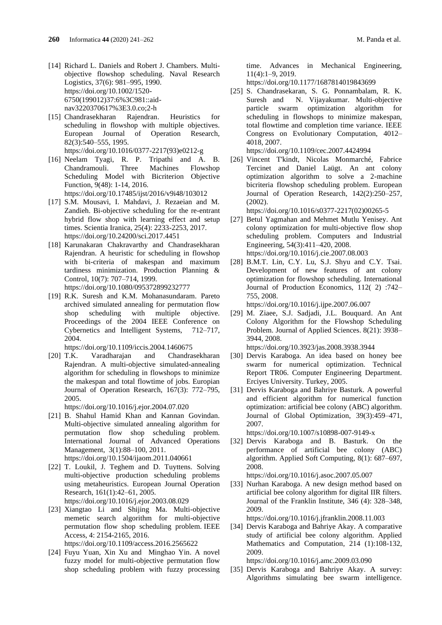- [14] Richard L. Daniels and Robert J. Chambers. Multiobjective flowshop scheduling. Naval Research Logistics, 37(6): 981–995, 1990. [https://doi.org/10.1002/1520-](https://doi.org/10.1002/1520-6750(199012)37:6%3C981::aid-nav3220370617%3E3.0.co;2-h) [6750\(199012\)37:6%3C981::aid](https://doi.org/10.1002/1520-6750(199012)37:6%3C981::aid-nav3220370617%3E3.0.co;2-h)[nav3220370617%3E3.0.co;2-h](https://doi.org/10.1002/1520-6750(199012)37:6%3C981::aid-nav3220370617%3E3.0.co;2-h)
- [15] Chandrasekharan Rajendran. Heuristics for scheduling in flowshop with multiple objectives. European Journal of Operation Research, 82(3):540–555, 1995. [https://doi.org/10.1016/0377-2217\(93\)e0212-g](https://doi.org/10.1016/0377-2217(93)e0212-g)
- [16] Neelam Tyagi, R. P. Tripathi and A. B. Chandramouli. Three Machines Flowshop Scheduling Model with Bicriterion Objective Function, 9(48): 1-14, 2016. <https://doi.org/10.17485/ijst/2016/v9i48/103012>
- [17] S.M. Mousavi, I. Mahdavi, J. Rezaeian and M. Zandieh. Bi-objective scheduling for the re-entrant hybrid flow shop with learning effect and setup times. Scientia Iranica, 25(4): 2233-2253, 2017. <https://doi.org/10.24200/sci.2017.4451>
- [18] Karunakaran Chakravarthy and Chandrasekharan Rajendran. A heuristic for scheduling in flowshop with bi-criteria of makespan and maximum tardiness minimization. Production Planning & Control, 10(7): 707–714, 1999. <https://doi.org/10.1080/095372899232777>
- [19] R.K. Suresh and K.M. Mohanasundaram. Pareto archived simulated annealing for permutation flow shop scheduling with multiple objective. Proceedings of the 2004 IEEE Conference on Cybernetics and Intelligent Systems, 712–717, 2004.

<https://doi.org/10.1109/iccis.2004.1460675>

[20] T.K. Varadharajan and Chandrasekharan Rajendran. A multi-objective simulated-annealing algorithm for scheduling in flowshops to minimize the makespan and total flowtime of jobs. Europian Journal of Operation Research, 167(3): 772–795, 2005.

<https://doi.org/10.1016/j.ejor.2004.07.020>

- [21] B. Shahul Hamid Khan and Kannan Govindan. Multi-objective simulated annealing algorithm for permutation flow shop scheduling problem. International Journal of Advanced Operations Management, 3(1):88–100, 2011. <https://doi.org/10.1504/ijaom.2011.040661>
- [22] T. Loukil, J. Teghem and D. Tuyttens. Solving multi-objective production scheduling problems using metaheuristics. European Journal Operation Research, 161(1):42–61, 2005. <https://doi.org/10.1016/j.ejor.2003.08.029>
- [23] Xiangtao Li and Shijing Ma. Multi-objective memetic search algorithm for multi-objective permutation flow shop scheduling problem. IEEE Access, 4: 2154-2165, 2016. <https://doi.org/10.1109/access.2016.2565622>
- [24] Fuyu Yuan, Xin Xu and Minghao Yin. A novel fuzzy model for multi-objective permutation flow shop scheduling problem with fuzzy processing

time. Advances in Mechanical Engineering, 11(4):1–9, 2019.

<https://doi.org/10.1177/1687814019843699>

[25] S. Chandrasekaran, S. G. Ponnambalam, R. K. Suresh and N. Vijayakumar. Multi-objective particle swarm optimization algorithm for scheduling in flowshops to minimize makespan, total flowtime and completion time variance. IEEE Congress on Evolutionary Computation, 4012– 4018, 2007.

<https://doi.org/10.1109/cec.2007.4424994>

[26] Vincent T'kindt, Nicolas Monmarché, Fabrice Tercinet and Daniel Laügt. An ant colony optimization algorithm to solve a 2-machine bicriteria flowshop scheduling problem. European Journal of Operation Research, 142(2):250–257, (2002).

[https://doi.org/10.1016/s0377-2217\(02\)00265-5](https://doi.org/10.1016/s0377-2217(02)00265-5)

- [27] Betul Yagmahan and Mehmet Mutlu Yenisey. Ant colony optimization for multi-objective flow shop scheduling problem. Computers and Industrial Engineering, 54(3):411–420, 2008. <https://doi.org/10.1016/j.cie.2007.08.003>
- [28] B.M.T. Lin, C.Y. Lu, S.J. Shyu and C.Y. Tsai. Development of new features of ant colony optimization for flowshop scheduling. International Journal of Production Economics, 112( 2) :742– 755, 2008.

<https://doi.org/10.1016/j.ijpe.2007.06.007>

[29] M. Ziaee, S.J. Sadjadi, J.L. Bouquard. An Ant Colony Algorithm for the Flowshop Scheduling Problem. Journal of Applied Sciences. 8(21): 3938– 3944, 2008.

<https://doi.org/10.3923/jas.2008.3938.3944>

- [30] Dervis Karaboga. An idea based on honey bee swarm for numerical optimization. Technical Report TR06. Computer Engineering Department. Erciyes University. Turkey, 2005.
- [31] Dervis Karaboga and Bahriye Basturk. A powerful and efficient algorithm for numerical function optimization: artificial bee colony (ABC) algorithm. Journal of Global Optimization, 39(3):459–471, 2007.

<https://doi.org/10.1007/s10898-007-9149-x>

[32] Dervis Karaboga and B. Basturk. On the performance of artificial bee colony (ABC) algorithm. Applied Soft Computing, 8(1): 687–697, 2008.

[https://doi.org/10.1016/j.asoc.2007.05.007](%09https:/doi.org/10.1016/j.asoc.2007.05.007)

[33] Nurhan Karaboga. A new design method based on artificial bee colony algorithm for digital IIR filters. Journal of the Franklin Institute, 346 (4): 328–348, 2009.

<https://doi.org/10.1016/j.jfranklin.2008.11.003>

[34] Dervis Karaboga and Bahriye Akay. A comparative study of artificial bee colony algorithm. Applied Mathematics and Computation, 214 (1):108-132, 2009.

<https://doi.org/10.1016/j.amc.2009.03.090>

[35] Dervis Karaboga and Bahriye Akay. A survey: Algorithms simulating bee swarm intelligence.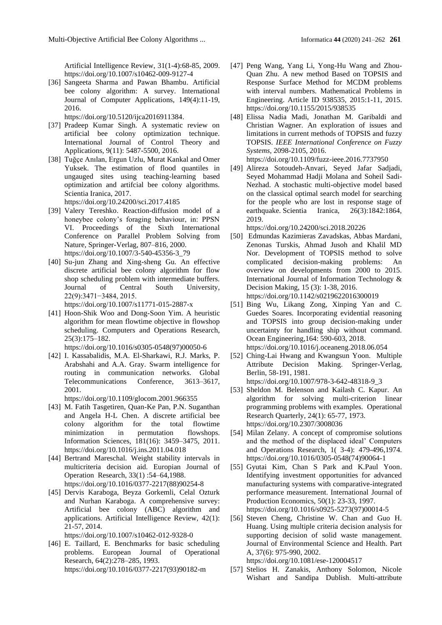Artificial Intelligence Review, 31(1-4):68-85, 2009. <https://doi.org/10.1007/s10462-009-9127-4>

[36] Sangeeta Sharma and Pawan Bhambu. Artificial bee colony algorithm: A survey. International Journal of Computer Applications, 149(4):11-19, 2016.

[https://doi.org/10.5120/ijca2016911384.](https://doi.org/10.5120/ijca2016911384)

- [37] Pradeep Kumar Singh. A systematic review on artificial bee colony optimization technique. International Journal of Control Theory and Applications, 9(11): 5487-5500, 2016.
- [38] Tuğçe Anılan, Ergun Uzlu, Murat Kankal and Omer Yuksek. The estimation of flood quantiles in ungauged sites using teaching-learning based optimization and artifcial bee colony algorithms. Scientia Iranica, 2017. <https://doi.org/10.24200/sci.2017.4185>
- [39] Valery Tereshko. Reaction-diffusion model of a honeybee colony's foraging behaviour, in: PPSN VI. Proceedings of the Sixth International
- Conference on Parallel Problem Solving from Nature, Springer-Verlag, 807–816, 2000. [https://doi.org/10.1007/3-540-45356-3\\_79](https://doi.org/10.1007/3-540-45356-3_79)
- [40] Su-jun Zhang and Xing-sheng Gu. An effective discrete artificial bee colony algorithm for flow shop scheduling problem with intermediate buffers. Journal of Central South University, 22(9):3471−3484, 2015.

<https://doi.org/10.1007/s11771-015-2887-x>

[41] Hoon-Shik Woo and Dong-Soon Yim. A heuristic algorithm for mean flowtime objective in flowshop scheduling. Computers and Operations Research, 25(3):175–182.

[https://doi.org/10.1016/s0305-0548\(97\)00050-6](https://doi.org/10.1016/s0305-0548(97)00050-6)

[42] I. Kassabalidis, M.A. El-Sharkawi, R.J. Marks, P. Arabshahi and A.A. Gray. Swarm intelligence for routing in communication networks. Global Telecommunications Conference, 3613–3617, 2001.

<https://doi.org/10.1109/glocom.2001.966355>

- [43] M. Fatih Tasgetiren, Quan-Ke Pan, P.N. Suganthan and Angela H-L Chen. A discrete artificial bee colony algorithm for the total flowtime minimization in permutation flowshops. Information Sciences, 181(16): 3459–3475, 2011. <https://doi.org/10.1016/j.ins.2011.04.018>
- [44] Bertrand Mareschal. Weight stability intervals in multicriteria decision aid. Europian Journal of Operation Research, 33(1) :54–64,1988. [https://doi.org/10.1016/0377-2217\(88\)90254-8](https://doi.org/10.1016/0377-2217(88)90254-8)
- [45] Dervis Karaboga, Beyza Gorkemli, Celal Ozturk and Nurhan Karaboga. A comprehensive survey: Artificial bee colony (ABC) algorithm and applications. Artificial Intelligence Review, 42(1): 21-57, 2014.

<https://doi.org/10.1007/s10462-012-9328-0>

[46] E. Taillard, E. Benchmarks for basic scheduling problems. European Journal of Operational Research, 64(2):278–285, 1993. [https://doi.org/10.1016/0377-2217\(93\)90182-m](https://doi.org/10.1016/0377-2217(93)90182-m)

- [47] Peng Wang, Yang Li, Yong-Hu Wang and Zhou-Quan Zhu. A new method Based on TOPSIS and Response Surface Method for MCDM problems with interval numbers. Mathematical Problems in Engineering. Article ID 938535, 2015:1-11, 2015. <https://doi.org/10.1155/2015/938535>
- [48] Elissa Nadia Madi, Jonathan M. Garibaldi and Christian Wagner. An exploration of issues and limitations in current methods of TOPSIS and fuzzy TOPSIS. *IEEE International Conference on Fuzzy Systems,* 2098-2105, 2016. <https://doi.org/10.1109/fuzz-ieee.2016.7737950>

[49] Alireza Sotoudeh-Anvari, Seyed Jafar Sadjadi, Seyed Mohammad Hadji Molana and Soheil Sadi-Nezhad. A stochastic multi-objective model based on the classical optimal search model for searching for the people who are lost in response stage of earthquake. Scientia Iranica, 26(3):1842:1864,

2019. <https://doi.org/10.24200/sci.2018.20226>

- [50] Edmundas Kazimieras Zavadskas, Abbas Mardani, Zenonas Turskis, Ahmad Jusoh and Khalil MD Nor. Development of TOPSIS method to solve complicated decision-making problems: An overview on developments from 2000 to 2015. International Journal of Information Technology & Decision Making, 15 (3): 1-38, 2016. <https://doi.org/10.1142/s0219622016300019>
- [51] Bing Wu, Likang Zong, Xinping Yan and C. Guedes Soares. Incorporating evidential reasoning and TOPSIS into group decision-making under uncertainty for handling ship without command. Ocean Engineering,164: 590-603, 2018. <https://doi.org/10.1016/j.oceaneng.2018.06.054>
- [52] Ching-Lai Hwang and Kwangsun Yoon. Multiple Attribute Decision Making. Springer-Verlag, Berlin, 58-191, 1981. [https://doi.org/10.1007/978-3-642-48318-9\\_3](https://doi.org/10.1007/978-3-642-48318-9_3)
- [53] Sheldon M. Belenson and Kailash C. Kapur. An algorithm for solving multi-criterion linear programming problems with examples. Operational Research Quarterly, 24(1): 65-77, 1973. <https://doi.org/10.2307/3008036>
- [54] Milan Zelany. A concept of compromise solutions and the method of the displaced ideal' Computers and Operations Research, 1( 3-4): 479-496,1974. [https://doi.org/10.1016/0305-0548\(74\)90064-1](https://doi.org/10.1016/0305-0548(74)90064-1)
- [55] Gyutai Kim, Chan S Park and K.Paul Yoon. Identifying investment opportunities for advanced manufacturing systems with comparative-integrated performance measurement. International Journal of Production Economics, 50(1): 23-33, 1997. [https://doi.org/10.1016/s0925-5273\(97\)00014-5](https://doi.org/10.1016/s0925-5273(97)00014-5)
- [56] Steven Cheng, Christine W. Chan and Guo H. Huang. Using multiple criteria decision analysis for supporting decision of solid waste management. Journal of Environmental Science and Health. Part A, 37(6): 975-990, 2002.

<https://doi.org/10.1081/ese-120004517>

[57] Stelios H. Zanakis, Anthony Solomon, Nicole Wishart and Sandipa Dublish. Multi-attribute